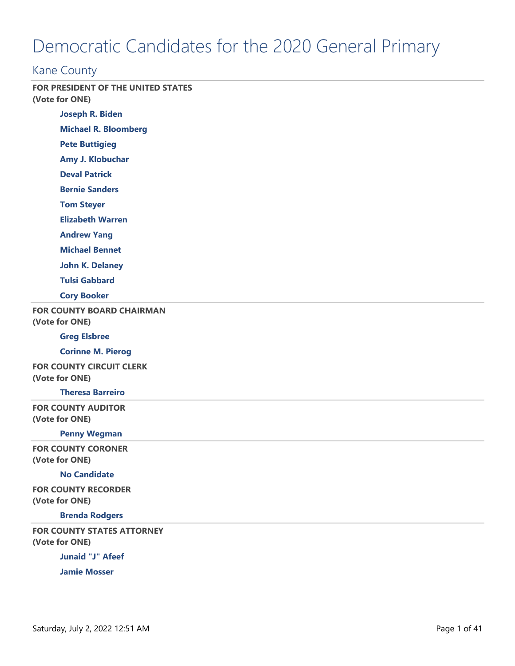# Democratic Candidates for the 2020 General Primary

# Kane County

**FOR PRESIDENT OF THE UNITED STATES (Vote for ONE)**

**Joseph R. Biden**

**Michael R. Bloomberg**

**Pete Buttigieg**

**Amy J. Klobuchar**

**Deval Patrick**

**Bernie Sanders**

**Tom Steyer**

**Elizabeth Warren**

**Andrew Yang**

**Michael Bennet**

**John K. Delaney**

**Tulsi Gabbard**

**Cory Booker**

**FOR COUNTY BOARD CHAIRMAN**

**(Vote for ONE)**

#### **Greg Elsbree**

**Corinne M. Pierog**

**FOR COUNTY CIRCUIT CLERK (Vote for ONE)**

#### **Theresa Barreiro**

**FOR COUNTY AUDITOR (Vote for ONE)**

#### **Penny Wegman**

**FOR COUNTY CORONER (Vote for ONE)**

#### **No Candidate**

**FOR COUNTY RECORDER (Vote for ONE)**

#### **Brenda Rodgers**

**FOR COUNTY STATES ATTORNEY (Vote for ONE)**

**Junaid "J" Afeef**

**Jamie Mosser**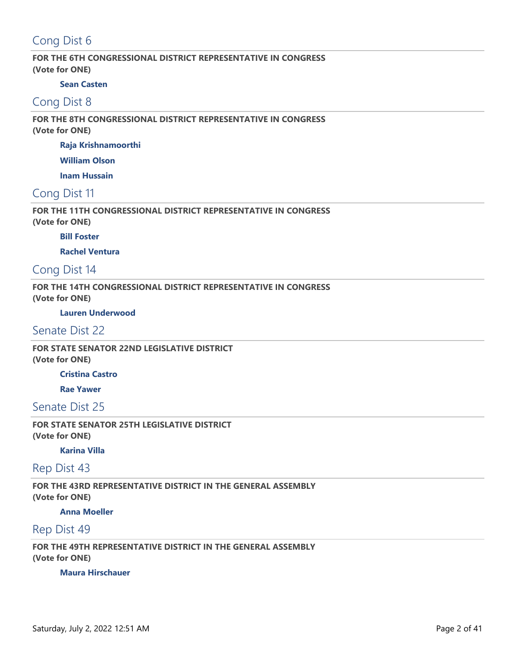# Cong Dist 6

### **FOR THE 6TH CONGRESSIONAL DISTRICT REPRESENTATIVE IN CONGRESS (Vote for ONE)**

### **Sean Casten**

# Cong Dist 8

### **FOR THE 8TH CONGRESSIONAL DISTRICT REPRESENTATIVE IN CONGRESS (Vote for ONE)**

**Raja Krishnamoorthi**

**William Olson**

**Inam Hussain**

# Cong Dist 11

### **FOR THE 11TH CONGRESSIONAL DISTRICT REPRESENTATIVE IN CONGRESS (Vote for ONE)**

### **Bill Foster**

**Rachel Ventura**

# Cong Dist 14

**FOR THE 14TH CONGRESSIONAL DISTRICT REPRESENTATIVE IN CONGRESS (Vote for ONE)**

### **Lauren Underwood**

# Senate Dist 22

**FOR STATE SENATOR 22ND LEGISLATIVE DISTRICT (Vote for ONE)**

### **Cristina Castro**

**Rae Yawer**

### Senate Dist 25

**FOR STATE SENATOR 25TH LEGISLATIVE DISTRICT (Vote for ONE)**

### **Karina Villa**

# Rep Dist 43

**FOR THE 43RD REPRESENTATIVE DISTRICT IN THE GENERAL ASSEMBLY (Vote for ONE)**

### **Anna Moeller**

## Rep Dist 49

### **FOR THE 49TH REPRESENTATIVE DISTRICT IN THE GENERAL ASSEMBLY (Vote for ONE)**

#### **Maura Hirschauer**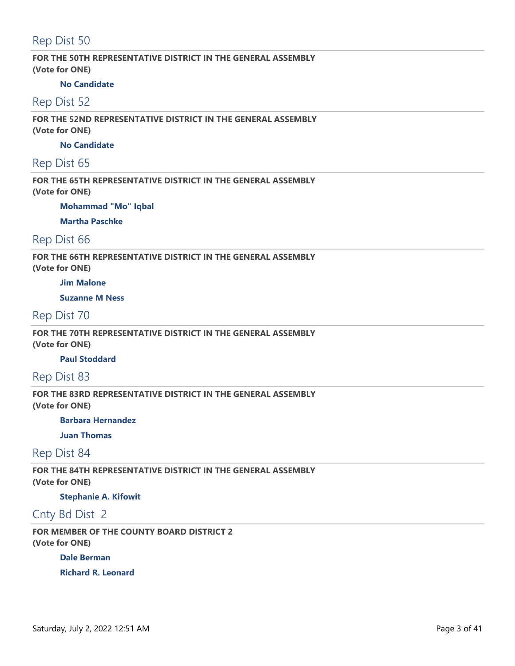# Rep Dist 50

**FOR THE 50TH REPRESENTATIVE DISTRICT IN THE GENERAL ASSEMBLY (Vote for ONE)**

#### **No Candidate**

### Rep Dist 52

**FOR THE 52ND REPRESENTATIVE DISTRICT IN THE GENERAL ASSEMBLY (Vote for ONE)**

### **No Candidate**

## Rep Dist 65

**FOR THE 65TH REPRESENTATIVE DISTRICT IN THE GENERAL ASSEMBLY (Vote for ONE)**

**Mohammad "Mo" Iqbal**

**Martha Paschke**

# Rep Dist 66

**FOR THE 66TH REPRESENTATIVE DISTRICT IN THE GENERAL ASSEMBLY (Vote for ONE)**

### **Jim Malone**

**Suzanne M Ness**

### Rep Dist 70

**FOR THE 70TH REPRESENTATIVE DISTRICT IN THE GENERAL ASSEMBLY (Vote for ONE)**

### **Paul Stoddard**

Rep Dist 83

**FOR THE 83RD REPRESENTATIVE DISTRICT IN THE GENERAL ASSEMBLY (Vote for ONE)**

#### **Barbara Hernandez**

**Juan Thomas**

### Rep Dist 84

**FOR THE 84TH REPRESENTATIVE DISTRICT IN THE GENERAL ASSEMBLY (Vote for ONE)**

**Stephanie A. Kifowit**

# Cnty Bd Dist 2

**FOR MEMBER OF THE COUNTY BOARD DISTRICT 2 (Vote for ONE)**

**Dale Berman**

**Richard R. Leonard**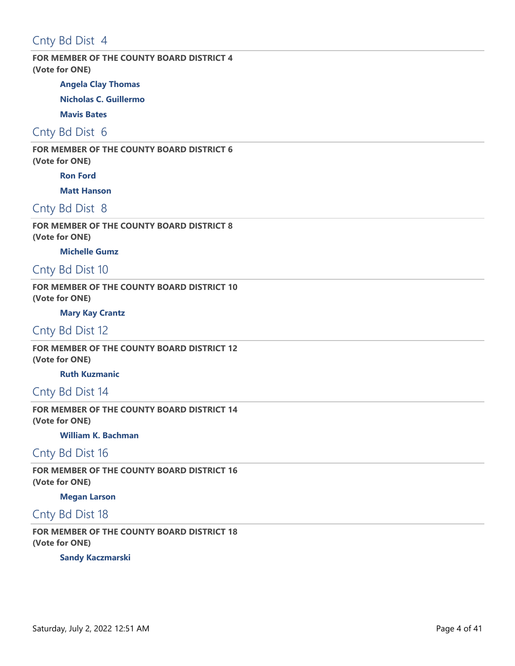# Cnty Bd Dist 4

### **FOR MEMBER OF THE COUNTY BOARD DISTRICT 4 (Vote for ONE)**

**Angela Clay Thomas**

**Nicholas C. Guillermo**

**Mavis Bates**

Cnty Bd Dist 6

**FOR MEMBER OF THE COUNTY BOARD DISTRICT 6 (Vote for ONE)**

**Ron Ford**

**Matt Hanson**

Cnty Bd Dist 8

**FOR MEMBER OF THE COUNTY BOARD DISTRICT 8 (Vote for ONE)**

**Michelle Gumz**

Cnty Bd Dist 10

**FOR MEMBER OF THE COUNTY BOARD DISTRICT 10 (Vote for ONE)**

**Mary Kay Crantz**

Cnty Bd Dist 12

**FOR MEMBER OF THE COUNTY BOARD DISTRICT 12 (Vote for ONE)**

**Ruth Kuzmanic**

Cnty Bd Dist 14

**FOR MEMBER OF THE COUNTY BOARD DISTRICT 14 (Vote for ONE)**

**William K. Bachman**

# Cnty Bd Dist 16

**FOR MEMBER OF THE COUNTY BOARD DISTRICT 16 (Vote for ONE)**

**Megan Larson**

# Cnty Bd Dist 18

**FOR MEMBER OF THE COUNTY BOARD DISTRICT 18 (Vote for ONE)**

**Sandy Kaczmarski**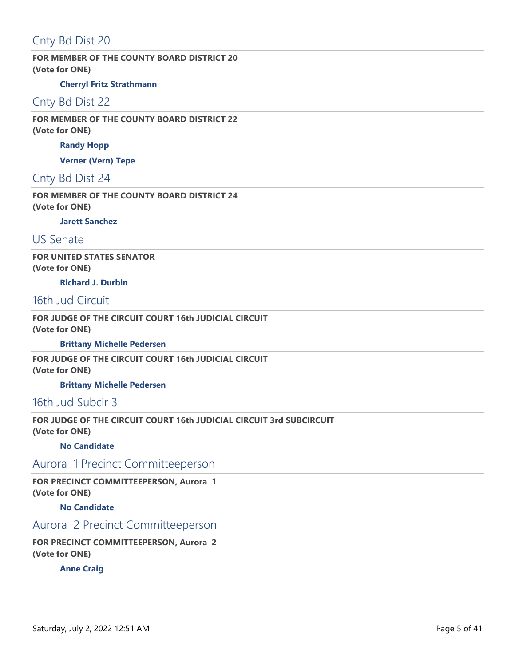# Cnty Bd Dist 20

**FOR MEMBER OF THE COUNTY BOARD DISTRICT 20 (Vote for ONE)**

### **Cherryl Fritz Strathmann**

# Cnty Bd Dist 22

**FOR MEMBER OF THE COUNTY BOARD DISTRICT 22 (Vote for ONE)**

**Randy Hopp**

**Verner (Vern) Tepe**

# Cnty Bd Dist 24

**FOR MEMBER OF THE COUNTY BOARD DISTRICT 24 (Vote for ONE)**

**Jarett Sanchez**

# US Senate

**FOR UNITED STATES SENATOR (Vote for ONE)**

**Richard J. Durbin**

### 16th Jud Circuit

**FOR JUDGE OF THE CIRCUIT COURT 16th JUDICIAL CIRCUIT (Vote for ONE)**

**Brittany Michelle Pedersen**

**FOR JUDGE OF THE CIRCUIT COURT 16th JUDICIAL CIRCUIT (Vote for ONE)**

**Brittany Michelle Pedersen**

# 16th Jud Subcir 3

**FOR JUDGE OF THE CIRCUIT COURT 16th JUDICIAL CIRCUIT 3rd SUBCIRCUIT (Vote for ONE)**

### **No Candidate**

# Aurora 1 Precinct Committeeperson

**FOR PRECINCT COMMITTEEPERSON, Aurora 1 (Vote for ONE)**

**No Candidate**

# Aurora 2 Precinct Committeeperson

**FOR PRECINCT COMMITTEEPERSON, Aurora 2 (Vote for ONE)**

**Anne Craig**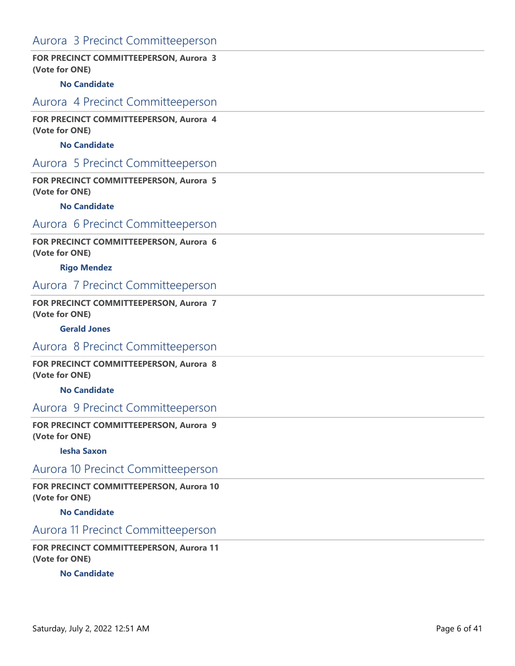# Aurora 3 Precinct Committeeperson

### **FOR PRECINCT COMMITTEEPERSON, Aurora 3 (Vote for ONE)**

#### **No Candidate**

### Aurora 4 Precinct Committeeperson

**FOR PRECINCT COMMITTEEPERSON, Aurora 4 (Vote for ONE)**

### **No Candidate**

### Aurora 5 Precinct Committeeperson

**FOR PRECINCT COMMITTEEPERSON, Aurora 5 (Vote for ONE)**

#### **No Candidate**

# Aurora 6 Precinct Committeeperson

### **FOR PRECINCT COMMITTEEPERSON, Aurora 6 (Vote for ONE)**

#### **Rigo Mendez**

### Aurora 7 Precinct Committeeperson

### **FOR PRECINCT COMMITTEEPERSON, Aurora 7 (Vote for ONE)**

#### **Gerald Jones**

### Aurora 8 Precinct Committeeperson

**FOR PRECINCT COMMITTEEPERSON, Aurora 8 (Vote for ONE)**

#### **No Candidate**

# Aurora 9 Precinct Committeeperson

**FOR PRECINCT COMMITTEEPERSON, Aurora 9 (Vote for ONE)**

#### **Iesha Saxon**

## Aurora 10 Precinct Committeeperson

**FOR PRECINCT COMMITTEEPERSON, Aurora 10 (Vote for ONE)**

**No Candidate**

### Aurora 11 Precinct Committeeperson

**FOR PRECINCT COMMITTEEPERSON, Aurora 11 (Vote for ONE)**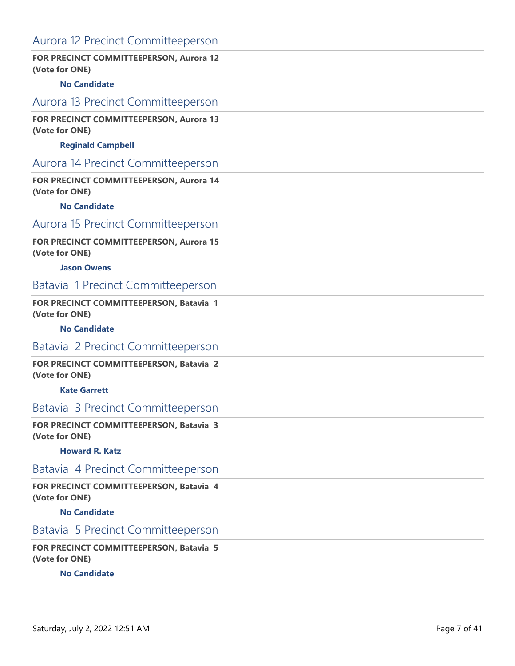# Aurora 12 Precinct Committeeperson

### **FOR PRECINCT COMMITTEEPERSON, Aurora 12 (Vote for ONE)**

#### **No Candidate**

### Aurora 13 Precinct Committeeperson

### **FOR PRECINCT COMMITTEEPERSON, Aurora 13 (Vote for ONE)**

#### **Reginald Campbell**

### Aurora 14 Precinct Committeeperson

### **FOR PRECINCT COMMITTEEPERSON, Aurora 14 (Vote for ONE)**

#### **No Candidate**

# Aurora 15 Precinct Committeeperson

### **FOR PRECINCT COMMITTEEPERSON, Aurora 15 (Vote for ONE)**

#### **Jason Owens**

### Batavia 1 Precinct Committeeperson

### **FOR PRECINCT COMMITTEEPERSON, Batavia 1 (Vote for ONE)**

#### **No Candidate**

### Batavia 2 Precinct Committeeperson

### **FOR PRECINCT COMMITTEEPERSON, Batavia 2 (Vote for ONE)**

#### **Kate Garrett**

# Batavia 3 Precinct Committeeperson

#### **FOR PRECINCT COMMITTEEPERSON, Batavia 3 (Vote for ONE)**

#### **Howard R. Katz**

### Batavia 4 Precinct Committeeperson

### **FOR PRECINCT COMMITTEEPERSON, Batavia 4 (Vote for ONE)**

### **No Candidate**

# Batavia 5 Precinct Committeeperson

### **FOR PRECINCT COMMITTEEPERSON, Batavia 5 (Vote for ONE)**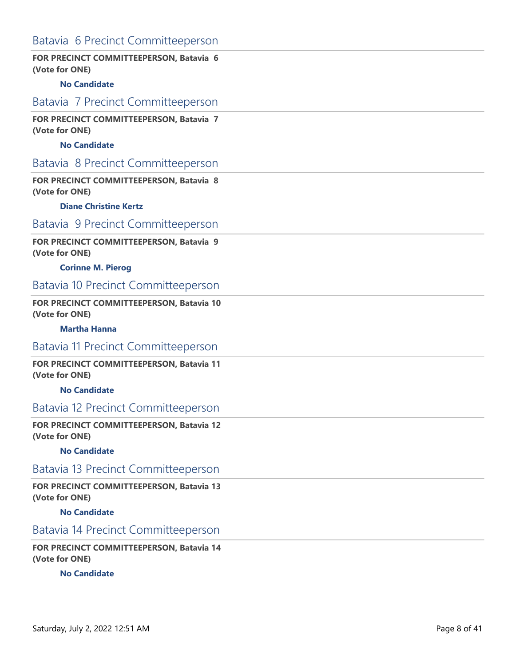# Batavia 6 Precinct Committeeperson

### **FOR PRECINCT COMMITTEEPERSON, Batavia 6 (Vote for ONE)**

#### **No Candidate**

### Batavia 7 Precinct Committeeperson

**FOR PRECINCT COMMITTEEPERSON, Batavia 7 (Vote for ONE)**

### **No Candidate**

### Batavia 8 Precinct Committeeperson

**FOR PRECINCT COMMITTEEPERSON, Batavia 8 (Vote for ONE)**

#### **Diane Christine Kertz**

## Batavia 9 Precinct Committeeperson

### **FOR PRECINCT COMMITTEEPERSON, Batavia 9 (Vote for ONE)**

#### **Corinne M. Pierog**

# Batavia 10 Precinct Committeeperson

### **FOR PRECINCT COMMITTEEPERSON, Batavia 10 (Vote for ONE)**

#### **Martha Hanna**

### Batavia 11 Precinct Committeeperson

### **FOR PRECINCT COMMITTEEPERSON, Batavia 11 (Vote for ONE)**

#### **No Candidate**

## Batavia 12 Precinct Committeeperson

#### **FOR PRECINCT COMMITTEEPERSON, Batavia 12 (Vote for ONE)**

#### **No Candidate**

## Batavia 13 Precinct Committeeperson

**FOR PRECINCT COMMITTEEPERSON, Batavia 13 (Vote for ONE)**

### **No Candidate**

### Batavia 14 Precinct Committeeperson

**FOR PRECINCT COMMITTEEPERSON, Batavia 14 (Vote for ONE)**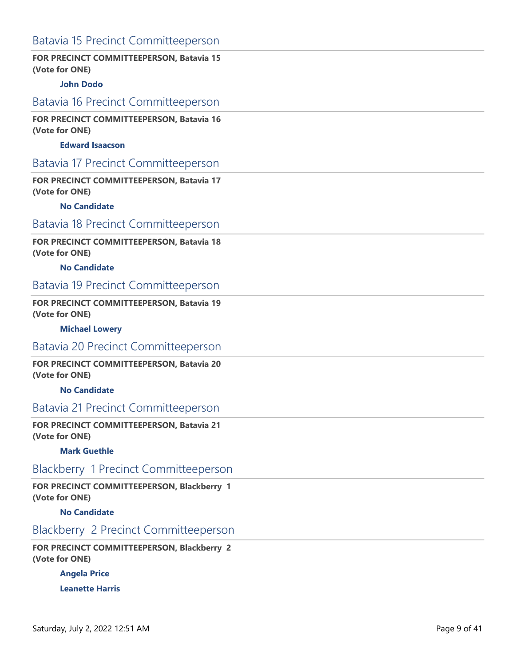# Batavia 15 Precinct Committeeperson

### **FOR PRECINCT COMMITTEEPERSON, Batavia 15 (Vote for ONE)**

### **John Dodo**

### Batavia 16 Precinct Committeeperson

**FOR PRECINCT COMMITTEEPERSON, Batavia 16 (Vote for ONE)**

### **Edward Isaacson**

### Batavia 17 Precinct Committeeperson

**FOR PRECINCT COMMITTEEPERSON, Batavia 17 (Vote for ONE)**

#### **No Candidate**

# Batavia 18 Precinct Committeeperson

### **FOR PRECINCT COMMITTEEPERSON, Batavia 18 (Vote for ONE)**

#### **No Candidate**

# Batavia 19 Precinct Committeeperson

### **FOR PRECINCT COMMITTEEPERSON, Batavia 19 (Vote for ONE)**

#### **Michael Lowery**

# Batavia 20 Precinct Committeeperson

### **FOR PRECINCT COMMITTEEPERSON, Batavia 20 (Vote for ONE)**

#### **No Candidate**

## Batavia 21 Precinct Committeeperson

#### **FOR PRECINCT COMMITTEEPERSON, Batavia 21 (Vote for ONE)**

#### **Mark Guethle**

## Blackberry 1 Precinct Committeeperson

**FOR PRECINCT COMMITTEEPERSON, Blackberry 1 (Vote for ONE)**

#### **No Candidate**

## Blackberry 2 Precinct Committeeperson

**FOR PRECINCT COMMITTEEPERSON, Blackberry 2 (Vote for ONE)**

**Angela Price**

**Leanette Harris**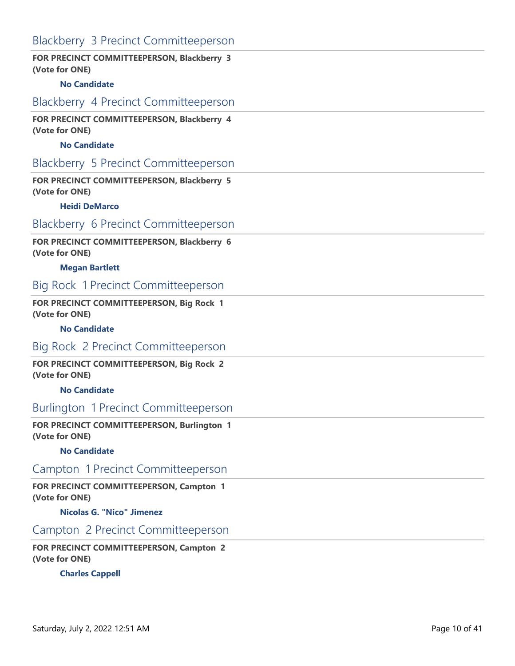# Blackberry 3 Precinct Committeeperson

### **FOR PRECINCT COMMITTEEPERSON, Blackberry 3 (Vote for ONE)**

### **No Candidate**

## Blackberry 4 Precinct Committeeperson

**FOR PRECINCT COMMITTEEPERSON, Blackberry 4 (Vote for ONE)**

### **No Candidate**

## Blackberry 5 Precinct Committeeperson

**FOR PRECINCT COMMITTEEPERSON, Blackberry 5 (Vote for ONE)**

#### **Heidi DeMarco**

# Blackberry 6 Precinct Committeeperson

**FOR PRECINCT COMMITTEEPERSON, Blackberry 6 (Vote for ONE)**

#### **Megan Bartlett**

### Big Rock 1 Precinct Committeeperson

### **FOR PRECINCT COMMITTEEPERSON, Big Rock 1 (Vote for ONE)**

#### **No Candidate**

### Big Rock 2 Precinct Committeeperson

**FOR PRECINCT COMMITTEEPERSON, Big Rock 2 (Vote for ONE)**

**No Candidate**

## Burlington 1 Precinct Committeeperson

**FOR PRECINCT COMMITTEEPERSON, Burlington 1 (Vote for ONE)**

#### **No Candidate**

# Campton 1 Precinct Committeeperson

**FOR PRECINCT COMMITTEEPERSON, Campton 1 (Vote for ONE)**

**Nicolas G. "Nico" Jimenez**

### Campton 2 Precinct Committeeperson

**FOR PRECINCT COMMITTEEPERSON, Campton 2 (Vote for ONE)**

#### **Charles Cappell**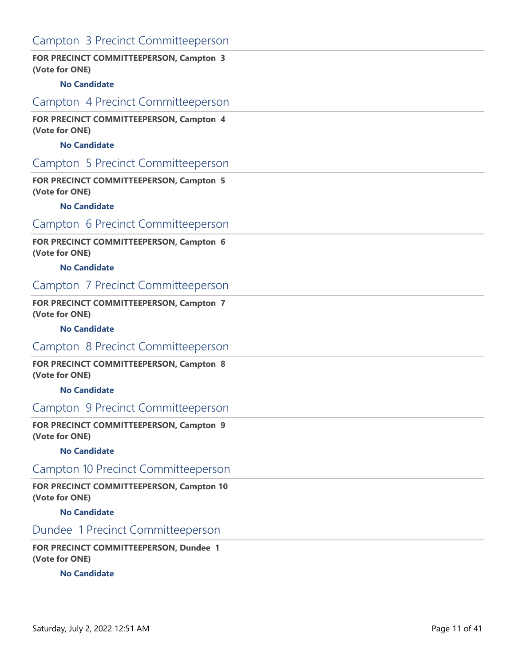# Campton 3 Precinct Committeeperson

### **FOR PRECINCT COMMITTEEPERSON, Campton 3 (Vote for ONE)**

### **No Candidate**

## Campton 4 Precinct Committeeperson

**FOR PRECINCT COMMITTEEPERSON, Campton 4 (Vote for ONE)**

### **No Candidate**

## Campton 5 Precinct Committeeperson

**FOR PRECINCT COMMITTEEPERSON, Campton 5 (Vote for ONE)**

#### **No Candidate**

### Campton 6 Precinct Committeeperson

**FOR PRECINCT COMMITTEEPERSON, Campton 6 (Vote for ONE)**

### **No Candidate**

### Campton 7 Precinct Committeeperson

### **FOR PRECINCT COMMITTEEPERSON, Campton 7 (Vote for ONE)**

#### **No Candidate**

### Campton 8 Precinct Committeeperson

**FOR PRECINCT COMMITTEEPERSON, Campton 8 (Vote for ONE)**

**No Candidate**

# Campton 9 Precinct Committeeperson

**FOR PRECINCT COMMITTEEPERSON, Campton 9 (Vote for ONE)**

#### **No Candidate**

### Campton 10 Precinct Committeeperson

**FOR PRECINCT COMMITTEEPERSON, Campton 10 (Vote for ONE)**

**No Candidate**

# Dundee 1 Precinct Committeeperson

**FOR PRECINCT COMMITTEEPERSON, Dundee 1 (Vote for ONE)**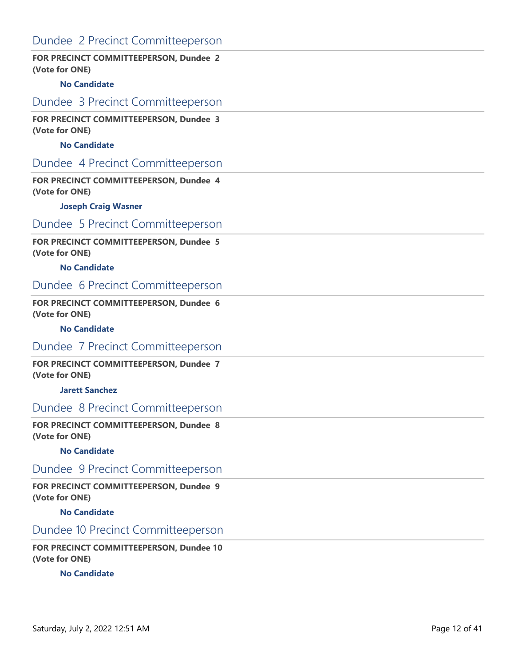# Dundee 2 Precinct Committeeperson

### **FOR PRECINCT COMMITTEEPERSON, Dundee 2 (Vote for ONE)**

#### **No Candidate**

# Dundee 3 Precinct Committeeperson

**FOR PRECINCT COMMITTEEPERSON, Dundee 3 (Vote for ONE)**

### **No Candidate**

## Dundee 4 Precinct Committeeperson

**FOR PRECINCT COMMITTEEPERSON, Dundee 4 (Vote for ONE)**

#### **Joseph Craig Wasner**

### Dundee 5 Precinct Committeeperson

#### **FOR PRECINCT COMMITTEEPERSON, Dundee 5 (Vote for ONE)**

#### **No Candidate**

# Dundee 6 Precinct Committeeperson

### **FOR PRECINCT COMMITTEEPERSON, Dundee 6 (Vote for ONE)**

#### **No Candidate**

### Dundee 7 Precinct Committeeperson

**FOR PRECINCT COMMITTEEPERSON, Dundee 7 (Vote for ONE)**

#### **Jarett Sanchez**

## Dundee 8 Precinct Committeeperson

**FOR PRECINCT COMMITTEEPERSON, Dundee 8 (Vote for ONE)**

#### **No Candidate**

## Dundee 9 Precinct Committeeperson

**FOR PRECINCT COMMITTEEPERSON, Dundee 9 (Vote for ONE)**

**No Candidate**

# Dundee 10 Precinct Committeeperson

**FOR PRECINCT COMMITTEEPERSON, Dundee 10 (Vote for ONE)**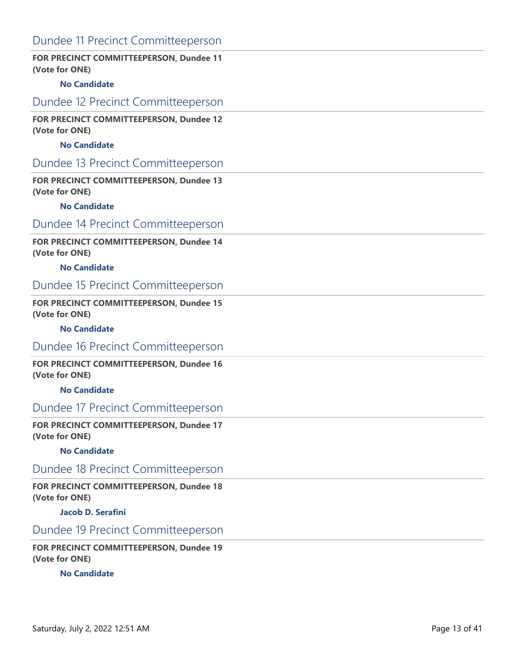# Dundee 11 Precinct Committeeperson

### **FOR PRECINCT COMMITTEEPERSON, Dundee 11 (Vote for ONE)**

### **No Candidate**

### Dundee 12 Precinct Committeeperson

**FOR PRECINCT COMMITTEEPERSON, Dundee 12 (Vote for ONE)**

### **No Candidate**

### Dundee 13 Precinct Committeeperson

**FOR PRECINCT COMMITTEEPERSON, Dundee 13 (Vote for ONE)**

#### **No Candidate**

# Dundee 14 Precinct Committeeperson

### **FOR PRECINCT COMMITTEEPERSON, Dundee 14 (Vote for ONE)**

#### **No Candidate**

# Dundee 15 Precinct Committeeperson

### **FOR PRECINCT COMMITTEEPERSON, Dundee 15 (Vote for ONE)**

#### **No Candidate**

### Dundee 16 Precinct Committeeperson

### **FOR PRECINCT COMMITTEEPERSON, Dundee 16 (Vote for ONE)**

#### **No Candidate**

## Dundee 17 Precinct Committeeperson

#### **FOR PRECINCT COMMITTEEPERSON, Dundee 17 (Vote for ONE)**

#### **No Candidate**

## Dundee 18 Precinct Committeeperson

### **FOR PRECINCT COMMITTEEPERSON, Dundee 18 (Vote for ONE)**

#### **Jacob D. Serafini**

# Dundee 19 Precinct Committeeperson

### **FOR PRECINCT COMMITTEEPERSON, Dundee 19 (Vote for ONE)**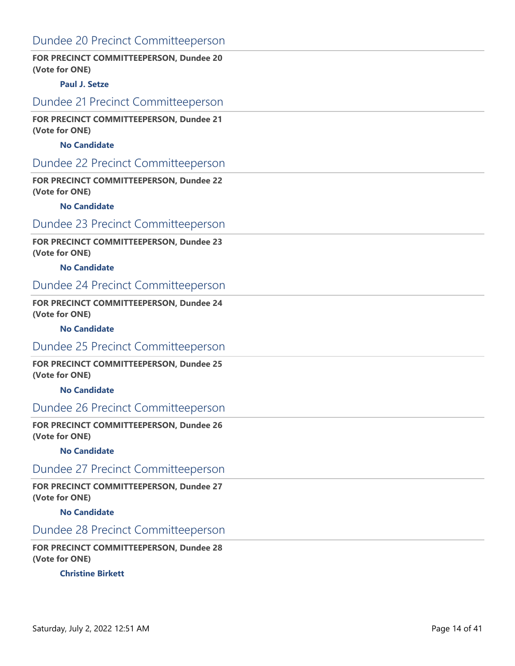# Dundee 20 Precinct Committeeperson

### **FOR PRECINCT COMMITTEEPERSON, Dundee 20 (Vote for ONE)**

### **Paul J. Setze**

## Dundee 21 Precinct Committeeperson

**FOR PRECINCT COMMITTEEPERSON, Dundee 21 (Vote for ONE)**

### **No Candidate**

### Dundee 22 Precinct Committeeperson

**FOR PRECINCT COMMITTEEPERSON, Dundee 22 (Vote for ONE)**

#### **No Candidate**

# Dundee 23 Precinct Committeeperson

### **FOR PRECINCT COMMITTEEPERSON, Dundee 23 (Vote for ONE)**

#### **No Candidate**

# Dundee 24 Precinct Committeeperson

### **FOR PRECINCT COMMITTEEPERSON, Dundee 24 (Vote for ONE)**

#### **No Candidate**

### Dundee 25 Precinct Committeeperson

### **FOR PRECINCT COMMITTEEPERSON, Dundee 25 (Vote for ONE)**

#### **No Candidate**

## Dundee 26 Precinct Committeeperson

#### **FOR PRECINCT COMMITTEEPERSON, Dundee 26 (Vote for ONE)**

#### **No Candidate**

### Dundee 27 Precinct Committeeperson

#### **FOR PRECINCT COMMITTEEPERSON, Dundee 27 (Vote for ONE)**

#### **No Candidate**

# Dundee 28 Precinct Committeeperson

### **FOR PRECINCT COMMITTEEPERSON, Dundee 28 (Vote for ONE)**

### **Christine Birkett**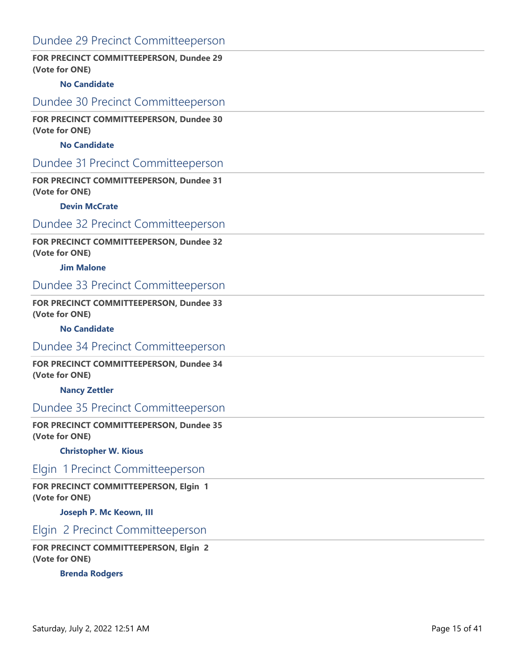# Dundee 29 Precinct Committeeperson

### **FOR PRECINCT COMMITTEEPERSON, Dundee 29 (Vote for ONE)**

### **No Candidate**

### Dundee 30 Precinct Committeeperson

**FOR PRECINCT COMMITTEEPERSON, Dundee 30 (Vote for ONE)**

### **No Candidate**

### Dundee 31 Precinct Committeeperson

**FOR PRECINCT COMMITTEEPERSON, Dundee 31 (Vote for ONE)**

#### **Devin McCrate**

# Dundee 32 Precinct Committeeperson

### **FOR PRECINCT COMMITTEEPERSON, Dundee 32 (Vote for ONE)**

#### **Jim Malone**

# Dundee 33 Precinct Committeeperson

### **FOR PRECINCT COMMITTEEPERSON, Dundee 33 (Vote for ONE)**

#### **No Candidate**

### Dundee 34 Precinct Committeeperson

### **FOR PRECINCT COMMITTEEPERSON, Dundee 34 (Vote for ONE)**

#### **Nancy Zettler**

## Dundee 35 Precinct Committeeperson

### **FOR PRECINCT COMMITTEEPERSON, Dundee 35 (Vote for ONE)**

#### **Christopher W. Kious**

## Elgin 1 Precinct Committeeperson

### **FOR PRECINCT COMMITTEEPERSON, Elgin 1 (Vote for ONE)**

#### **Joseph P. Mc Keown, III**

### Elgin 2 Precinct Committeeperson

### **FOR PRECINCT COMMITTEEPERSON, Elgin 2 (Vote for ONE)**

### **Brenda Rodgers**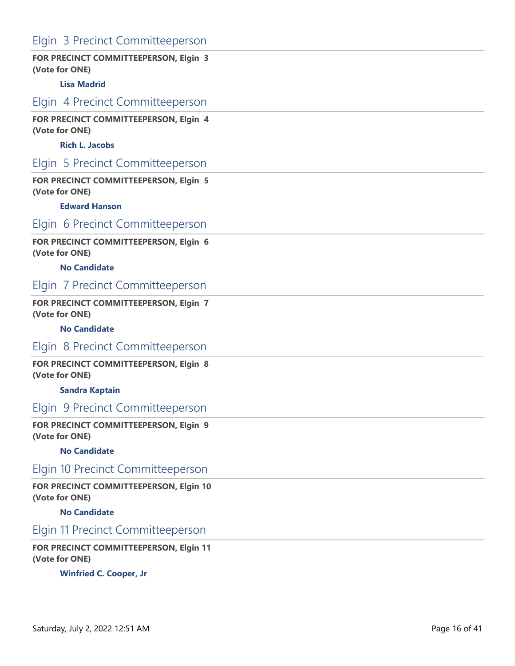# Elgin 3 Precinct Committeeperson

### **FOR PRECINCT COMMITTEEPERSON, Elgin 3 (Vote for ONE)**

#### **Lisa Madrid**

# Elgin 4 Precinct Committeeperson

**FOR PRECINCT COMMITTEEPERSON, Elgin 4 (Vote for ONE)**

### **Rich L. Jacobs**

# Elgin 5 Precinct Committeeperson

**FOR PRECINCT COMMITTEEPERSON, Elgin 5 (Vote for ONE)**

#### **Edward Hanson**

### Elgin 6 Precinct Committeeperson

### **FOR PRECINCT COMMITTEEPERSON, Elgin 6 (Vote for ONE)**

#### **No Candidate**

### Elgin 7 Precinct Committeeperson

#### **FOR PRECINCT COMMITTEEPERSON, Elgin 7 (Vote for ONE)**

#### **No Candidate**

### Elgin 8 Precinct Committeeperson

**FOR PRECINCT COMMITTEEPERSON, Elgin 8 (Vote for ONE)**

#### **Sandra Kaptain**

### Elgin 9 Precinct Committeeperson

**FOR PRECINCT COMMITTEEPERSON, Elgin 9 (Vote for ONE)**

#### **No Candidate**

### Elgin 10 Precinct Committeeperson

**FOR PRECINCT COMMITTEEPERSON, Elgin 10 (Vote for ONE)**

**No Candidate**

### Elgin 11 Precinct Committeeperson

**FOR PRECINCT COMMITTEEPERSON, Elgin 11 (Vote for ONE)**

**Winfried C. Cooper, Jr**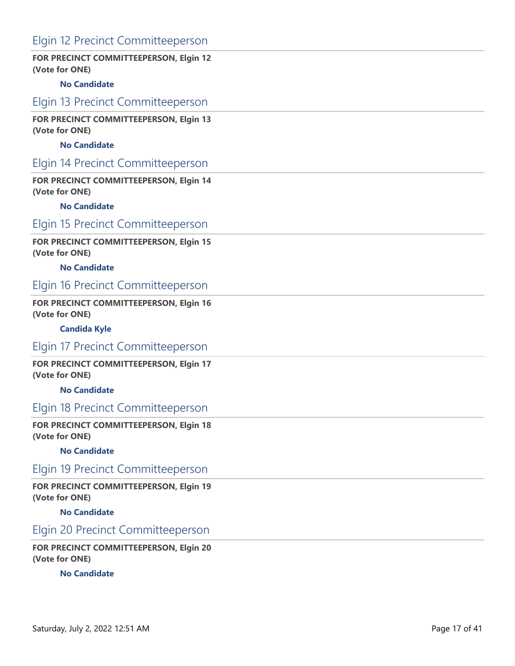# Elgin 12 Precinct Committeeperson

### **FOR PRECINCT COMMITTEEPERSON, Elgin 12 (Vote for ONE)**

#### **No Candidate**

### Elgin 13 Precinct Committeeperson

**FOR PRECINCT COMMITTEEPERSON, Elgin 13 (Vote for ONE)**

### **No Candidate**

## Elgin 14 Precinct Committeeperson

**FOR PRECINCT COMMITTEEPERSON, Elgin 14 (Vote for ONE)**

#### **No Candidate**

### Elgin 15 Precinct Committeeperson

### **FOR PRECINCT COMMITTEEPERSON, Elgin 15 (Vote for ONE)**

#### **No Candidate**

## Elgin 16 Precinct Committeeperson

### **FOR PRECINCT COMMITTEEPERSON, Elgin 16 (Vote for ONE)**

#### **Candida Kyle**

### Elgin 17 Precinct Committeeperson

**FOR PRECINCT COMMITTEEPERSON, Elgin 17 (Vote for ONE)**

**No Candidate**

## Elgin 18 Precinct Committeeperson

**FOR PRECINCT COMMITTEEPERSON, Elgin 18 (Vote for ONE)**

#### **No Candidate**

## Elgin 19 Precinct Committeeperson

**FOR PRECINCT COMMITTEEPERSON, Elgin 19 (Vote for ONE)**

**No Candidate**

### Elgin 20 Precinct Committeeperson

**FOR PRECINCT COMMITTEEPERSON, Elgin 20 (Vote for ONE)**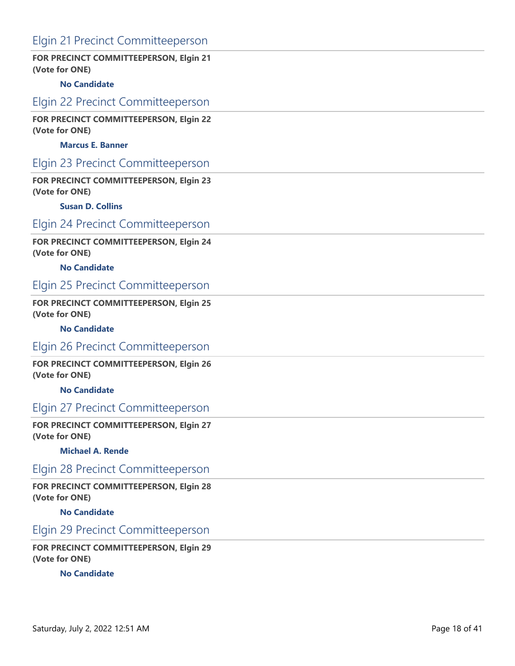# Elgin 21 Precinct Committeeperson

### **FOR PRECINCT COMMITTEEPERSON, Elgin 21 (Vote for ONE)**

#### **No Candidate**

### Elgin 22 Precinct Committeeperson

**FOR PRECINCT COMMITTEEPERSON, Elgin 22 (Vote for ONE)**

### **Marcus E. Banner**

## Elgin 23 Precinct Committeeperson

**FOR PRECINCT COMMITTEEPERSON, Elgin 23 (Vote for ONE)**

#### **Susan D. Collins**

### Elgin 24 Precinct Committeeperson

**FOR PRECINCT COMMITTEEPERSON, Elgin 24 (Vote for ONE)**

#### **No Candidate**

### Elgin 25 Precinct Committeeperson

### **FOR PRECINCT COMMITTEEPERSON, Elgin 25 (Vote for ONE)**

#### **No Candidate**

### Elgin 26 Precinct Committeeperson

**FOR PRECINCT COMMITTEEPERSON, Elgin 26 (Vote for ONE)**

**No Candidate**

## Elgin 27 Precinct Committeeperson

**FOR PRECINCT COMMITTEEPERSON, Elgin 27 (Vote for ONE)**

#### **Michael A. Rende**

## Elgin 28 Precinct Committeeperson

**FOR PRECINCT COMMITTEEPERSON, Elgin 28 (Vote for ONE)**

**No Candidate**

## Elgin 29 Precinct Committeeperson

**FOR PRECINCT COMMITTEEPERSON, Elgin 29 (Vote for ONE)**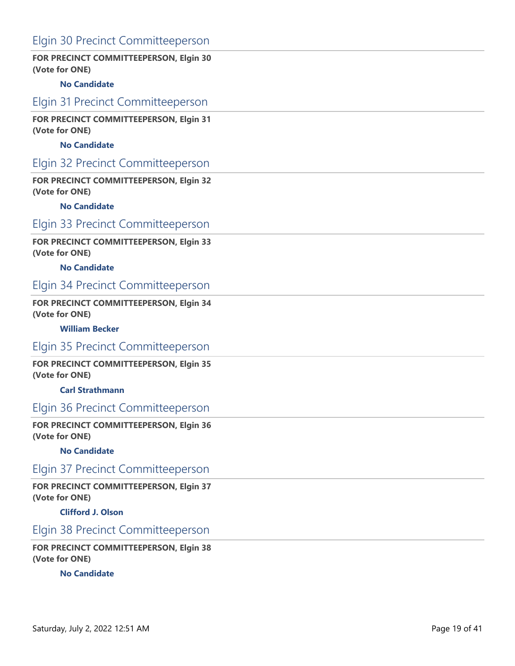# Elgin 30 Precinct Committeeperson

### **FOR PRECINCT COMMITTEEPERSON, Elgin 30 (Vote for ONE)**

### **No Candidate**

### Elgin 31 Precinct Committeeperson

**FOR PRECINCT COMMITTEEPERSON, Elgin 31 (Vote for ONE)**

### **No Candidate**

# Elgin 32 Precinct Committeeperson

**FOR PRECINCT COMMITTEEPERSON, Elgin 32 (Vote for ONE)**

#### **No Candidate**

### Elgin 33 Precinct Committeeperson

**FOR PRECINCT COMMITTEEPERSON, Elgin 33 (Vote for ONE)**

#### **No Candidate**

## Elgin 34 Precinct Committeeperson

**FOR PRECINCT COMMITTEEPERSON, Elgin 34 (Vote for ONE)**

#### **William Becker**

### Elgin 35 Precinct Committeeperson

**FOR PRECINCT COMMITTEEPERSON, Elgin 35 (Vote for ONE)**

**Carl Strathmann**

## Elgin 36 Precinct Committeeperson

**FOR PRECINCT COMMITTEEPERSON, Elgin 36 (Vote for ONE)**

#### **No Candidate**

Elgin 37 Precinct Committeeperson

**FOR PRECINCT COMMITTEEPERSON, Elgin 37 (Vote for ONE)**

**Clifford J. Olson**

### Elgin 38 Precinct Committeeperson

**FOR PRECINCT COMMITTEEPERSON, Elgin 38 (Vote for ONE)**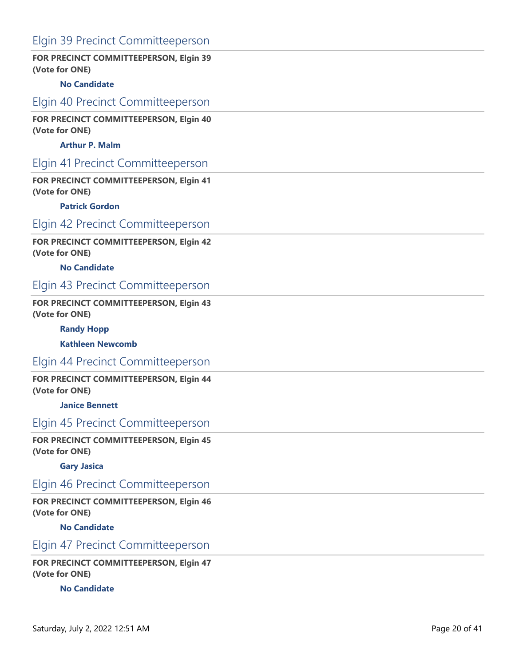# Elgin 39 Precinct Committeeperson

### **FOR PRECINCT COMMITTEEPERSON, Elgin 39 (Vote for ONE)**

### **No Candidate**

### Elgin 40 Precinct Committeeperson

**FOR PRECINCT COMMITTEEPERSON, Elgin 40 (Vote for ONE)**

### **Arthur P. Malm**

# Elgin 41 Precinct Committeeperson

**FOR PRECINCT COMMITTEEPERSON, Elgin 41 (Vote for ONE)**

#### **Patrick Gordon**

### Elgin 42 Precinct Committeeperson

**FOR PRECINCT COMMITTEEPERSON, Elgin 42 (Vote for ONE)**

#### **No Candidate**

### Elgin 43 Precinct Committeeperson

**FOR PRECINCT COMMITTEEPERSON, Elgin 43 (Vote for ONE)**

#### **Randy Hopp**

**Kathleen Newcomb**

## Elgin 44 Precinct Committeeperson

**FOR PRECINCT COMMITTEEPERSON, Elgin 44 (Vote for ONE)**

**Janice Bennett**

# Elgin 45 Precinct Committeeperson

**FOR PRECINCT COMMITTEEPERSON, Elgin 45 (Vote for ONE)**

#### **Gary Jasica**

### Elgin 46 Precinct Committeeperson

**FOR PRECINCT COMMITTEEPERSON, Elgin 46 (Vote for ONE)**

**No Candidate**

### Elgin 47 Precinct Committeeperson

**FOR PRECINCT COMMITTEEPERSON, Elgin 47 (Vote for ONE)**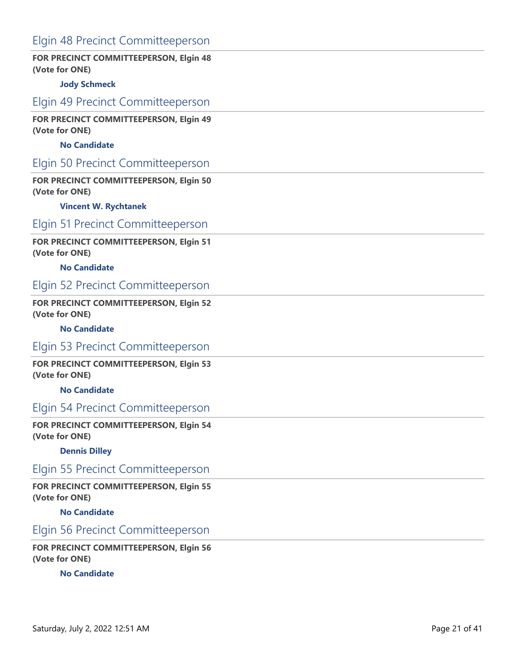# Elgin 48 Precinct Committeeperson

### **FOR PRECINCT COMMITTEEPERSON, Elgin 48 (Vote for ONE)**

### **Jody Schmeck**

### Elgin 49 Precinct Committeeperson

**FOR PRECINCT COMMITTEEPERSON, Elgin 49 (Vote for ONE)**

### **No Candidate**

## Elgin 50 Precinct Committeeperson

**FOR PRECINCT COMMITTEEPERSON, Elgin 50 (Vote for ONE)**

#### **Vincent W. Rychtanek**

### Elgin 51 Precinct Committeeperson

### **FOR PRECINCT COMMITTEEPERSON, Elgin 51 (Vote for ONE)**

#### **No Candidate**

## Elgin 52 Precinct Committeeperson

### **FOR PRECINCT COMMITTEEPERSON, Elgin 52 (Vote for ONE)**

#### **No Candidate**

### Elgin 53 Precinct Committeeperson

**FOR PRECINCT COMMITTEEPERSON, Elgin 53 (Vote for ONE)**

**No Candidate**

# Elgin 54 Precinct Committeeperson

**FOR PRECINCT COMMITTEEPERSON, Elgin 54 (Vote for ONE)**

#### **Dennis Dilley**

## Elgin 55 Precinct Committeeperson

**FOR PRECINCT COMMITTEEPERSON, Elgin 55 (Vote for ONE)**

**No Candidate**

### Elgin 56 Precinct Committeeperson

**FOR PRECINCT COMMITTEEPERSON, Elgin 56 (Vote for ONE)**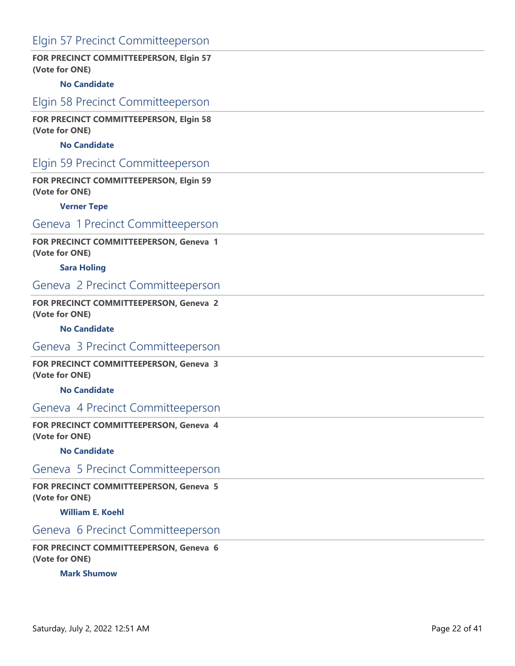# Elgin 57 Precinct Committeeperson

### **FOR PRECINCT COMMITTEEPERSON, Elgin 57 (Vote for ONE)**

### **No Candidate**

### Elgin 58 Precinct Committeeperson

**FOR PRECINCT COMMITTEEPERSON, Elgin 58 (Vote for ONE)**

### **No Candidate**

# Elgin 59 Precinct Committeeperson

**FOR PRECINCT COMMITTEEPERSON, Elgin 59 (Vote for ONE)**

#### **Verner Tepe**

### Geneva 1 Precinct Committeeperson

### **FOR PRECINCT COMMITTEEPERSON, Geneva 1 (Vote for ONE)**

#### **Sara Holing**

### Geneva 2 Precinct Committeeperson

### **FOR PRECINCT COMMITTEEPERSON, Geneva 2 (Vote for ONE)**

#### **No Candidate**

### Geneva 3 Precinct Committeeperson

**FOR PRECINCT COMMITTEEPERSON, Geneva 3 (Vote for ONE)**

**No Candidate**

## Geneva 4 Precinct Committeeperson

**FOR PRECINCT COMMITTEEPERSON, Geneva 4 (Vote for ONE)**

#### **No Candidate**

## Geneva 5 Precinct Committeeperson

**FOR PRECINCT COMMITTEEPERSON, Geneva 5 (Vote for ONE)**

**William E. Koehl**

# Geneva 6 Precinct Committeeperson

**FOR PRECINCT COMMITTEEPERSON, Geneva 6 (Vote for ONE)**

**Mark Shumow**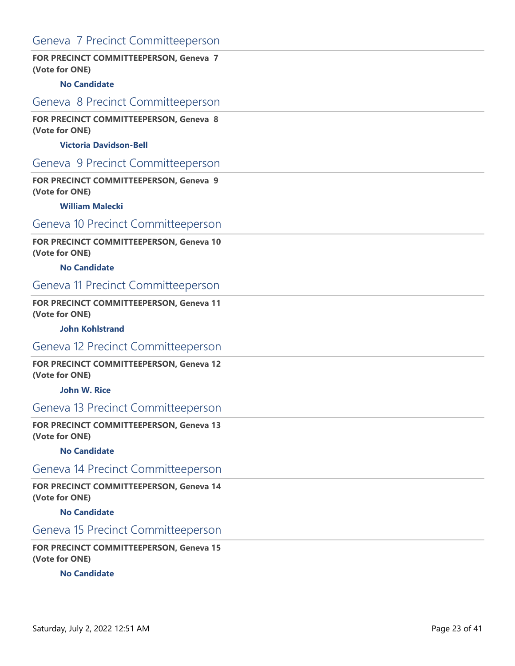# Geneva 7 Precinct Committeeperson

### **FOR PRECINCT COMMITTEEPERSON, Geneva 7 (Vote for ONE)**

#### **No Candidate**

### Geneva 8 Precinct Committeeperson

**FOR PRECINCT COMMITTEEPERSON, Geneva 8 (Vote for ONE)**

#### **Victoria Davidson-Bell**

## Geneva 9 Precinct Committeeperson

**FOR PRECINCT COMMITTEEPERSON, Geneva 9 (Vote for ONE)**

#### **William Malecki**

# Geneva 10 Precinct Committeeperson

### **FOR PRECINCT COMMITTEEPERSON, Geneva 10 (Vote for ONE)**

#### **No Candidate**

### Geneva 11 Precinct Committeeperson

### **FOR PRECINCT COMMITTEEPERSON, Geneva 11 (Vote for ONE)**

#### **John Kohlstrand**

### Geneva 12 Precinct Committeeperson

### **FOR PRECINCT COMMITTEEPERSON, Geneva 12 (Vote for ONE)**

#### **John W. Rice**

## Geneva 13 Precinct Committeeperson

**FOR PRECINCT COMMITTEEPERSON, Geneva 13 (Vote for ONE)**

#### **No Candidate**

## Geneva 14 Precinct Committeeperson

**FOR PRECINCT COMMITTEEPERSON, Geneva 14 (Vote for ONE)**

**No Candidate**

### Geneva 15 Precinct Committeeperson

**FOR PRECINCT COMMITTEEPERSON, Geneva 15 (Vote for ONE)**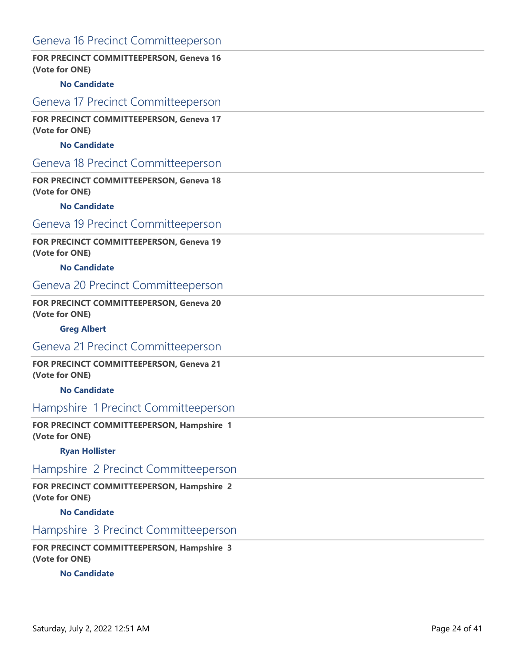# Geneva 16 Precinct Committeeperson

### **FOR PRECINCT COMMITTEEPERSON, Geneva 16 (Vote for ONE)**

### **No Candidate**

### Geneva 17 Precinct Committeeperson

**FOR PRECINCT COMMITTEEPERSON, Geneva 17 (Vote for ONE)**

### **No Candidate**

## Geneva 18 Precinct Committeeperson

**FOR PRECINCT COMMITTEEPERSON, Geneva 18 (Vote for ONE)**

#### **No Candidate**

# Geneva 19 Precinct Committeeperson

### **FOR PRECINCT COMMITTEEPERSON, Geneva 19 (Vote for ONE)**

#### **No Candidate**

### Geneva 20 Precinct Committeeperson

### **FOR PRECINCT COMMITTEEPERSON, Geneva 20 (Vote for ONE)**

#### **Greg Albert**

### Geneva 21 Precinct Committeeperson

**FOR PRECINCT COMMITTEEPERSON, Geneva 21 (Vote for ONE)**

**No Candidate**

## Hampshire 1 Precinct Committeeperson

**FOR PRECINCT COMMITTEEPERSON, Hampshire 1 (Vote for ONE)**

#### **Ryan Hollister**

## Hampshire 2 Precinct Committeeperson

**FOR PRECINCT COMMITTEEPERSON, Hampshire 2 (Vote for ONE)**

**No Candidate**

### Hampshire 3 Precinct Committeeperson

**FOR PRECINCT COMMITTEEPERSON, Hampshire 3 (Vote for ONE)**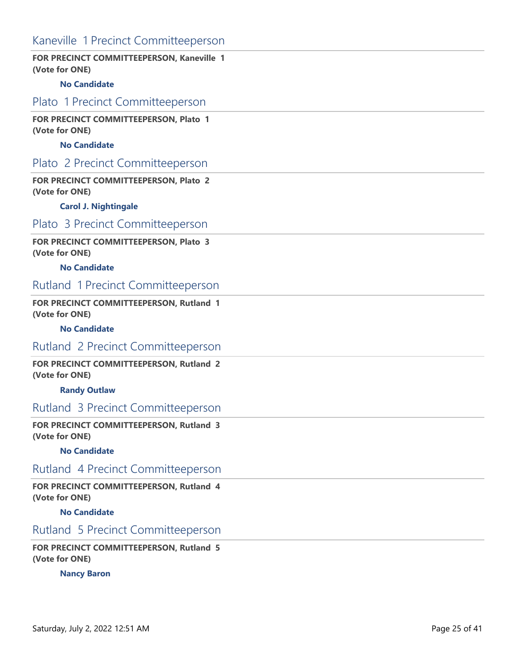# Kaneville 1 Precinct Committeeperson

### **FOR PRECINCT COMMITTEEPERSON, Kaneville 1 (Vote for ONE)**

#### **No Candidate**

Plato 1 Precinct Committeeperson

**FOR PRECINCT COMMITTEEPERSON, Plato 1 (Vote for ONE)**

### **No Candidate**

### Plato 2 Precinct Committeeperson

**FOR PRECINCT COMMITTEEPERSON, Plato 2 (Vote for ONE)**

#### **Carol J. Nightingale**

### Plato 3 Precinct Committeeperson

### **FOR PRECINCT COMMITTEEPERSON, Plato 3 (Vote for ONE)**

#### **No Candidate**

# Rutland 1 Precinct Committeeperson

#### **FOR PRECINCT COMMITTEEPERSON, Rutland 1 (Vote for ONE)**

#### **No Candidate**

### Rutland 2 Precinct Committeeperson

**FOR PRECINCT COMMITTEEPERSON, Rutland 2 (Vote for ONE)**

#### **Randy Outlaw**

# Rutland 3 Precinct Committeeperson

**FOR PRECINCT COMMITTEEPERSON, Rutland 3 (Vote for ONE)**

#### **No Candidate**

## Rutland 4 Precinct Committeeperson

**FOR PRECINCT COMMITTEEPERSON, Rutland 4 (Vote for ONE)**

**No Candidate**

# Rutland 5 Precinct Committeeperson

**FOR PRECINCT COMMITTEEPERSON, Rutland 5 (Vote for ONE)**

**Nancy Baron**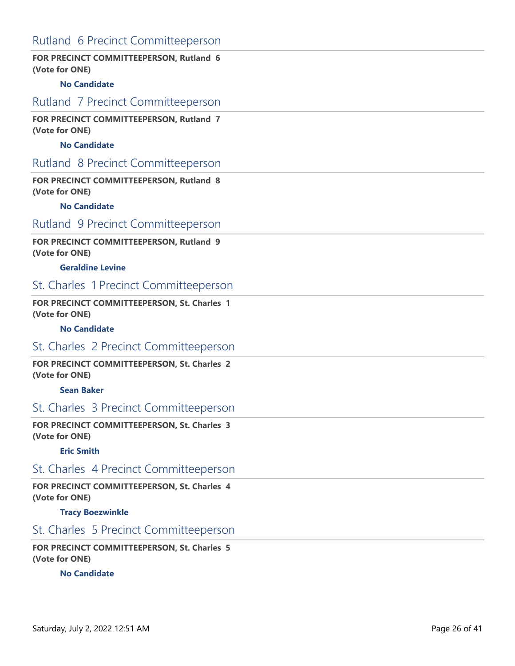# Rutland 6 Precinct Committeeperson

### **FOR PRECINCT COMMITTEEPERSON, Rutland 6 (Vote for ONE)**

### **No Candidate**

### Rutland 7 Precinct Committeeperson

**FOR PRECINCT COMMITTEEPERSON, Rutland 7 (Vote for ONE)**

### **No Candidate**

## Rutland 8 Precinct Committeeperson

**FOR PRECINCT COMMITTEEPERSON, Rutland 8 (Vote for ONE)**

#### **No Candidate**

## Rutland 9 Precinct Committeeperson

### **FOR PRECINCT COMMITTEEPERSON, Rutland 9 (Vote for ONE)**

#### **Geraldine Levine**

# St. Charles 1 Precinct Committeeperson

### **FOR PRECINCT COMMITTEEPERSON, St. Charles 1 (Vote for ONE)**

#### **No Candidate**

### St. Charles 2 Precinct Committeeperson

**FOR PRECINCT COMMITTEEPERSON, St. Charles 2 (Vote for ONE)**

#### **Sean Baker**

## St. Charles 3 Precinct Committeeperson

**FOR PRECINCT COMMITTEEPERSON, St. Charles 3 (Vote for ONE)**

#### **Eric Smith**

## St. Charles 4 Precinct Committeeperson

**FOR PRECINCT COMMITTEEPERSON, St. Charles 4 (Vote for ONE)**

**Tracy Boezwinkle**

# St. Charles 5 Precinct Committeeperson

**FOR PRECINCT COMMITTEEPERSON, St. Charles 5 (Vote for ONE)**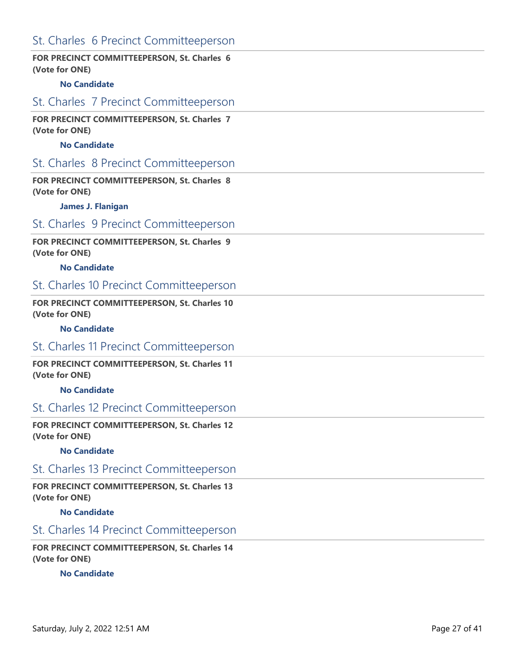# St. Charles 6 Precinct Committeeperson

### **FOR PRECINCT COMMITTEEPERSON, St. Charles 6 (Vote for ONE)**

### **No Candidate**

# St. Charles 7 Precinct Committeeperson

**FOR PRECINCT COMMITTEEPERSON, St. Charles 7 (Vote for ONE)**

### **No Candidate**

### St. Charles 8 Precinct Committeeperson

**FOR PRECINCT COMMITTEEPERSON, St. Charles 8 (Vote for ONE)**

#### **James J. Flanigan**

### St. Charles 9 Precinct Committeeperson

**FOR PRECINCT COMMITTEEPERSON, St. Charles 9 (Vote for ONE)**

#### **No Candidate**

### St. Charles 10 Precinct Committeeperson

**FOR PRECINCT COMMITTEEPERSON, St. Charles 10 (Vote for ONE)**

#### **No Candidate**

### St. Charles 11 Precinct Committeeperson

**FOR PRECINCT COMMITTEEPERSON, St. Charles 11 (Vote for ONE)**

**No Candidate**

# St. Charles 12 Precinct Committeeperson

**FOR PRECINCT COMMITTEEPERSON, St. Charles 12 (Vote for ONE)**

#### **No Candidate**

## St. Charles 13 Precinct Committeeperson

**FOR PRECINCT COMMITTEEPERSON, St. Charles 13 (Vote for ONE)**

**No Candidate**

# St. Charles 14 Precinct Committeeperson

**FOR PRECINCT COMMITTEEPERSON, St. Charles 14 (Vote for ONE)**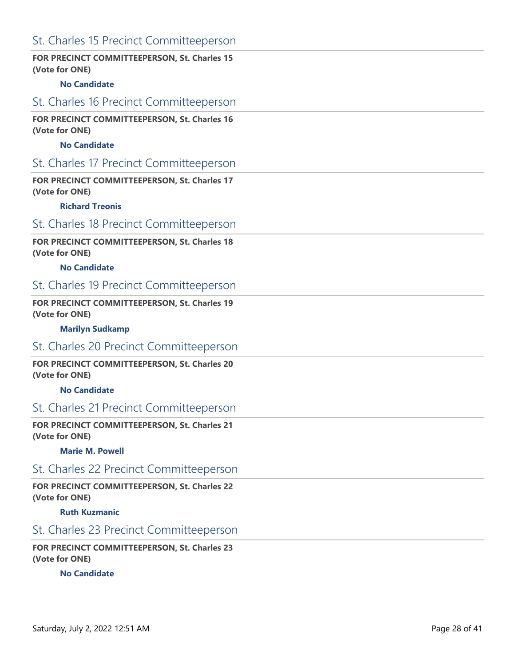# St. Charles 15 Precinct Committeeperson

### **FOR PRECINCT COMMITTEEPERSON, St. Charles 15 (Vote for ONE)**

### **No Candidate**

## St. Charles 16 Precinct Committeeperson

### **FOR PRECINCT COMMITTEEPERSON, St. Charles 16 (Vote for ONE)**

### **No Candidate**

### St. Charles 17 Precinct Committeeperson

**FOR PRECINCT COMMITTEEPERSON, St. Charles 17 (Vote for ONE)**

#### **Richard Treonis**

# St. Charles 18 Precinct Committeeperson

**FOR PRECINCT COMMITTEEPERSON, St. Charles 18 (Vote for ONE)**

#### **No Candidate**

# St. Charles 19 Precinct Committeeperson

### **FOR PRECINCT COMMITTEEPERSON, St. Charles 19 (Vote for ONE)**

**Marilyn Sudkamp**

### St. Charles 20 Precinct Committeeperson

**FOR PRECINCT COMMITTEEPERSON, St. Charles 20 (Vote for ONE)**

**No Candidate**

# St. Charles 21 Precinct Committeeperson

**FOR PRECINCT COMMITTEEPERSON, St. Charles 21 (Vote for ONE)**

**Marie M. Powell**

## St. Charles 22 Precinct Committeeperson

**FOR PRECINCT COMMITTEEPERSON, St. Charles 22 (Vote for ONE)**

**Ruth Kuzmanic**

# St. Charles 23 Precinct Committeeperson

**FOR PRECINCT COMMITTEEPERSON, St. Charles 23 (Vote for ONE)**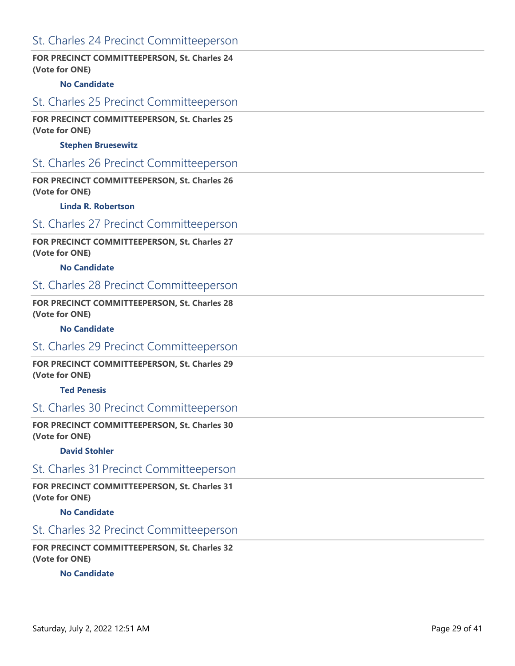# St. Charles 24 Precinct Committeeperson

### **FOR PRECINCT COMMITTEEPERSON, St. Charles 24 (Vote for ONE)**

### **No Candidate**

# St. Charles 25 Precinct Committeeperson

### **FOR PRECINCT COMMITTEEPERSON, St. Charles 25 (Vote for ONE)**

### **Stephen Bruesewitz**

# St. Charles 26 Precinct Committeeperson

### **FOR PRECINCT COMMITTEEPERSON, St. Charles 26 (Vote for ONE)**

#### **Linda R. Robertson**

# St. Charles 27 Precinct Committeeperson

### **FOR PRECINCT COMMITTEEPERSON, St. Charles 27 (Vote for ONE)**

#### **No Candidate**

# St. Charles 28 Precinct Committeeperson

### **FOR PRECINCT COMMITTEEPERSON, St. Charles 28 (Vote for ONE)**

#### **No Candidate**

### St. Charles 29 Precinct Committeeperson

**FOR PRECINCT COMMITTEEPERSON, St. Charles 29 (Vote for ONE)**

#### **Ted Penesis**

## St. Charles 30 Precinct Committeeperson

**FOR PRECINCT COMMITTEEPERSON, St. Charles 30 (Vote for ONE)**

#### **David Stohler**

## St. Charles 31 Precinct Committeeperson

**FOR PRECINCT COMMITTEEPERSON, St. Charles 31 (Vote for ONE)**

### **No Candidate**

# St. Charles 32 Precinct Committeeperson

**FOR PRECINCT COMMITTEEPERSON, St. Charles 32 (Vote for ONE)**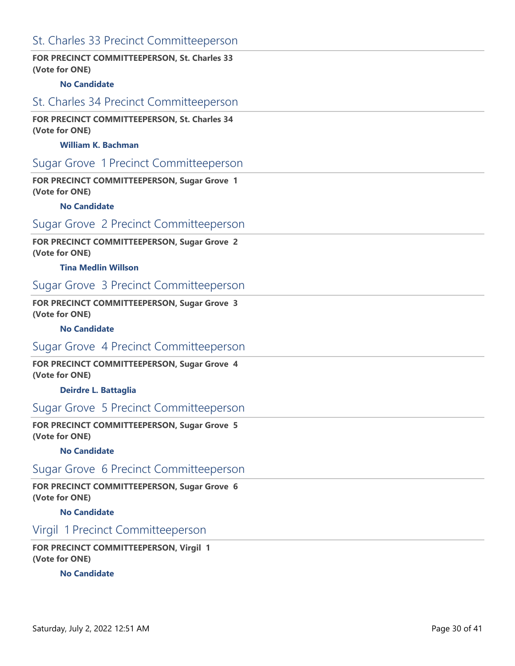# St. Charles 33 Precinct Committeeperson

### **FOR PRECINCT COMMITTEEPERSON, St. Charles 33 (Vote for ONE)**

### **No Candidate**

## St. Charles 34 Precinct Committeeperson

**FOR PRECINCT COMMITTEEPERSON, St. Charles 34 (Vote for ONE)**

#### **William K. Bachman**

### Sugar Grove 1 Precinct Committeeperson

**FOR PRECINCT COMMITTEEPERSON, Sugar Grove 1 (Vote for ONE)**

#### **No Candidate**

# Sugar Grove 2 Precinct Committeeperson

**FOR PRECINCT COMMITTEEPERSON, Sugar Grove 2 (Vote for ONE)**

#### **Tina Medlin Willson**

### Sugar Grove 3 Precinct Committeeperson

**FOR PRECINCT COMMITTEEPERSON, Sugar Grove 3 (Vote for ONE)**

#### **No Candidate**

### Sugar Grove 4 Precinct Committeeperson

**FOR PRECINCT COMMITTEEPERSON, Sugar Grove 4 (Vote for ONE)**

**Deirdre L. Battaglia**

## Sugar Grove 5 Precinct Committeeperson

**FOR PRECINCT COMMITTEEPERSON, Sugar Grove 5 (Vote for ONE)**

#### **No Candidate**

Sugar Grove 6 Precinct Committeeperson

**FOR PRECINCT COMMITTEEPERSON, Sugar Grove 6 (Vote for ONE)**

**No Candidate**

## Virgil 1 Precinct Committeeperson

**FOR PRECINCT COMMITTEEPERSON, Virgil 1 (Vote for ONE)**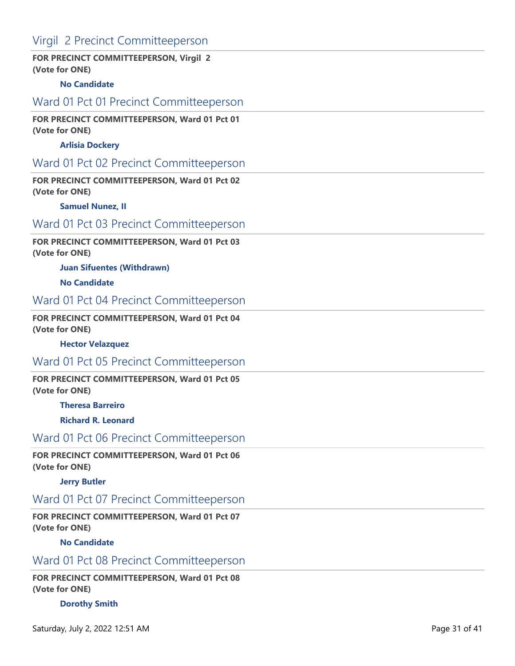# Virgil 2 Precinct Committeeperson

### **FOR PRECINCT COMMITTEEPERSON, Virgil 2 (Vote for ONE)**

### **No Candidate**

### Ward 01 Pct 01 Precinct Committeeperson

### **FOR PRECINCT COMMITTEEPERSON, Ward 01 Pct 01 (Vote for ONE)**

### **Arlisia Dockery**

# Ward 01 Pct 02 Precinct Committeeperson

### **FOR PRECINCT COMMITTEEPERSON, Ward 01 Pct 02 (Vote for ONE)**

#### **Samuel Nunez, II**

### Ward 01 Pct 03 Precinct Committeeperson

**FOR PRECINCT COMMITTEEPERSON, Ward 01 Pct 03 (Vote for ONE)**

#### **Juan Sifuentes (Withdrawn)**

**No Candidate**

### Ward 01 Pct 04 Precinct Committeeperson

#### **FOR PRECINCT COMMITTEEPERSON, Ward 01 Pct 04 (Vote for ONE)**

#### **Hector Velazquez**

## Ward 01 Pct 05 Precinct Committeeperson

**FOR PRECINCT COMMITTEEPERSON, Ward 01 Pct 05 (Vote for ONE)**

#### **Theresa Barreiro**

**Richard R. Leonard**

### Ward 01 Pct 06 Precinct Committeeperson

#### **FOR PRECINCT COMMITTEEPERSON, Ward 01 Pct 06 (Vote for ONE)**

#### **Jerry Butler**

# Ward 01 Pct 07 Precinct Committeeperson

**FOR PRECINCT COMMITTEEPERSON, Ward 01 Pct 07 (Vote for ONE)**

### **No Candidate**

# Ward 01 Pct 08 Precinct Committeeperson

**FOR PRECINCT COMMITTEEPERSON, Ward 01 Pct 08 (Vote for ONE)**

### **Dorothy Smith**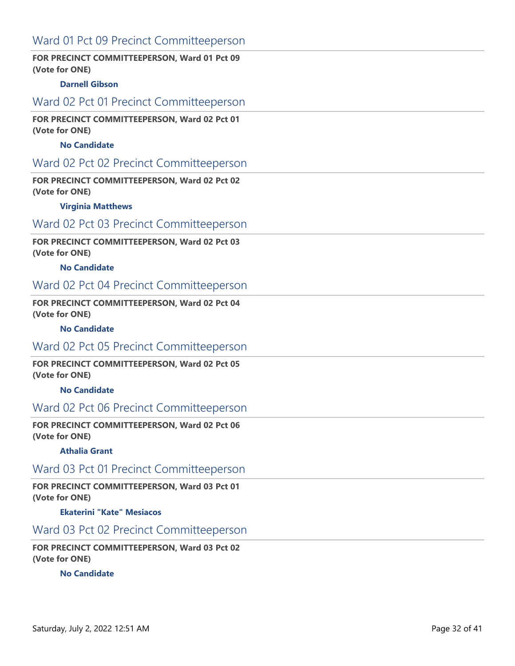# Ward 01 Pct 09 Precinct Committeeperson

### **FOR PRECINCT COMMITTEEPERSON, Ward 01 Pct 09 (Vote for ONE)**

### **Darnell Gibson**

## Ward 02 Pct 01 Precinct Committeeperson

### **FOR PRECINCT COMMITTEEPERSON, Ward 02 Pct 01 (Vote for ONE)**

### **No Candidate**

# Ward 02 Pct 02 Precinct Committeeperson

### **FOR PRECINCT COMMITTEEPERSON, Ward 02 Pct 02 (Vote for ONE)**

#### **Virginia Matthews**

# Ward 02 Pct 03 Precinct Committeeperson

### **FOR PRECINCT COMMITTEEPERSON, Ward 02 Pct 03 (Vote for ONE)**

#### **No Candidate**

### Ward 02 Pct 04 Precinct Committeeperson

### **FOR PRECINCT COMMITTEEPERSON, Ward 02 Pct 04 (Vote for ONE)**

#### **No Candidate**

### Ward 02 Pct 05 Precinct Committeeperson

### **FOR PRECINCT COMMITTEEPERSON, Ward 02 Pct 05 (Vote for ONE)**

#### **No Candidate**

## Ward 02 Pct 06 Precinct Committeeperson

#### **FOR PRECINCT COMMITTEEPERSON, Ward 02 Pct 06 (Vote for ONE)**

#### **Athalia Grant**

### Ward 03 Pct 01 Precinct Committeeperson

#### **FOR PRECINCT COMMITTEEPERSON, Ward 03 Pct 01 (Vote for ONE)**

#### **Ekaterini "Kate" Mesiacos**

## Ward 03 Pct 02 Precinct Committeeperson

### **FOR PRECINCT COMMITTEEPERSON, Ward 03 Pct 02 (Vote for ONE)**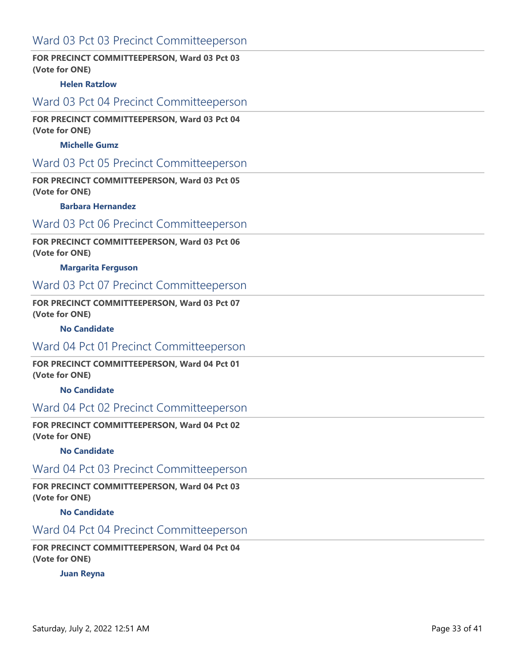# Ward 03 Pct 03 Precinct Committeeperson

### **FOR PRECINCT COMMITTEEPERSON, Ward 03 Pct 03 (Vote for ONE)**

### **Helen Ratzlow**

## Ward 03 Pct 04 Precinct Committeeperson

#### **FOR PRECINCT COMMITTEEPERSON, Ward 03 Pct 04 (Vote for ONE)**

### **Michelle Gumz**

# Ward 03 Pct 05 Precinct Committeeperson

### **FOR PRECINCT COMMITTEEPERSON, Ward 03 Pct 05 (Vote for ONE)**

#### **Barbara Hernandez**

# Ward 03 Pct 06 Precinct Committeeperson

### **FOR PRECINCT COMMITTEEPERSON, Ward 03 Pct 06 (Vote for ONE)**

#### **Margarita Ferguson**

# Ward 03 Pct 07 Precinct Committeeperson

### **FOR PRECINCT COMMITTEEPERSON, Ward 03 Pct 07 (Vote for ONE)**

#### **No Candidate**

### Ward 04 Pct 01 Precinct Committeeperson

### **FOR PRECINCT COMMITTEEPERSON, Ward 04 Pct 01 (Vote for ONE)**

#### **No Candidate**

## Ward 04 Pct 02 Precinct Committeeperson

#### **FOR PRECINCT COMMITTEEPERSON, Ward 04 Pct 02 (Vote for ONE)**

#### **No Candidate**

### Ward 04 Pct 03 Precinct Committeeperson

#### **FOR PRECINCT COMMITTEEPERSON, Ward 04 Pct 03 (Vote for ONE)**

#### **No Candidate**

# Ward 04 Pct 04 Precinct Committeeperson

### **FOR PRECINCT COMMITTEEPERSON, Ward 04 Pct 04 (Vote for ONE)**

### **Juan Reyna**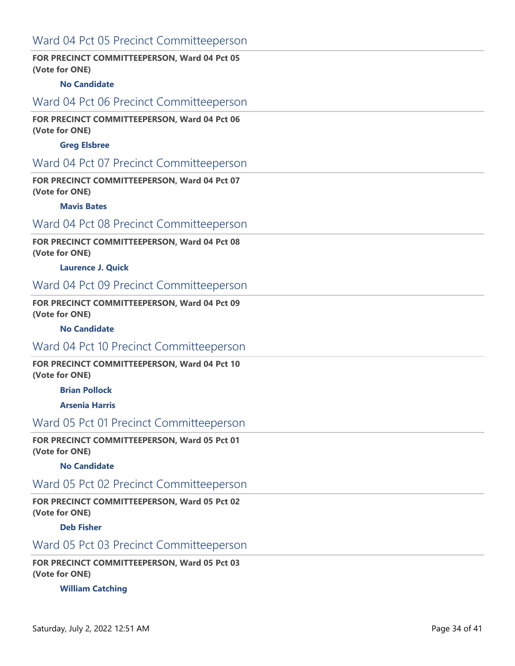# Ward 04 Pct 05 Precinct Committeeperson

### **FOR PRECINCT COMMITTEEPERSON, Ward 04 Pct 05 (Vote for ONE)**

### **No Candidate**

## Ward 04 Pct 06 Precinct Committeeperson

### **FOR PRECINCT COMMITTEEPERSON, Ward 04 Pct 06 (Vote for ONE)**

### **Greg Elsbree**

# Ward 04 Pct 07 Precinct Committeeperson

### **FOR PRECINCT COMMITTEEPERSON, Ward 04 Pct 07 (Vote for ONE)**

#### **Mavis Bates**

### Ward 04 Pct 08 Precinct Committeeperson

### **FOR PRECINCT COMMITTEEPERSON, Ward 04 Pct 08 (Vote for ONE)**

#### **Laurence J. Quick**

### Ward 04 Pct 09 Precinct Committeeperson

### **FOR PRECINCT COMMITTEEPERSON, Ward 04 Pct 09 (Vote for ONE)**

#### **No Candidate**

### Ward 04 Pct 10 Precinct Committeeperson

#### **FOR PRECINCT COMMITTEEPERSON, Ward 04 Pct 10 (Vote for ONE)**

### **Brian Pollock**

#### **Arsenia Harris**

# Ward 05 Pct 01 Precinct Committeeperson

#### **FOR PRECINCT COMMITTEEPERSON, Ward 05 Pct 01 (Vote for ONE)**

#### **No Candidate**

### Ward 05 Pct 02 Precinct Committeeperson

### **FOR PRECINCT COMMITTEEPERSON, Ward 05 Pct 02 (Vote for ONE)**

#### **Deb Fisher**

# Ward 05 Pct 03 Precinct Committeeperson

### **FOR PRECINCT COMMITTEEPERSON, Ward 05 Pct 03 (Vote for ONE)**

#### **William Catching**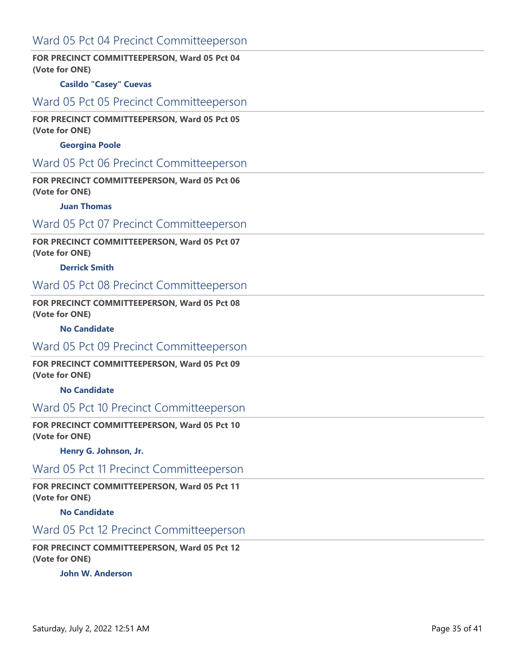# Ward 05 Pct 04 Precinct Committeeperson

### **FOR PRECINCT COMMITTEEPERSON, Ward 05 Pct 04 (Vote for ONE)**

### **Casildo "Casey" Cuevas**

## Ward 05 Pct 05 Precinct Committeeperson

#### **FOR PRECINCT COMMITTEEPERSON, Ward 05 Pct 05 (Vote for ONE)**

### **Georgina Poole**

# Ward 05 Pct 06 Precinct Committeeperson

### **FOR PRECINCT COMMITTEEPERSON, Ward 05 Pct 06 (Vote for ONE)**

#### **Juan Thomas**

# Ward 05 Pct 07 Precinct Committeeperson

### **FOR PRECINCT COMMITTEEPERSON, Ward 05 Pct 07 (Vote for ONE)**

#### **Derrick Smith**

### Ward 05 Pct 08 Precinct Committeeperson

### **FOR PRECINCT COMMITTEEPERSON, Ward 05 Pct 08 (Vote for ONE)**

#### **No Candidate**

### Ward 05 Pct 09 Precinct Committeeperson

### **FOR PRECINCT COMMITTEEPERSON, Ward 05 Pct 09 (Vote for ONE)**

#### **No Candidate**

## Ward 05 Pct 10 Precinct Committeeperson

#### **FOR PRECINCT COMMITTEEPERSON, Ward 05 Pct 10 (Vote for ONE)**

#### **Henry G. Johnson, Jr.**

### Ward 05 Pct 11 Precinct Committeeperson

### **FOR PRECINCT COMMITTEEPERSON, Ward 05 Pct 11 (Vote for ONE)**

#### **No Candidate**

# Ward 05 Pct 12 Precinct Committeeperson

### **FOR PRECINCT COMMITTEEPERSON, Ward 05 Pct 12 (Vote for ONE)**

### **John W. Anderson**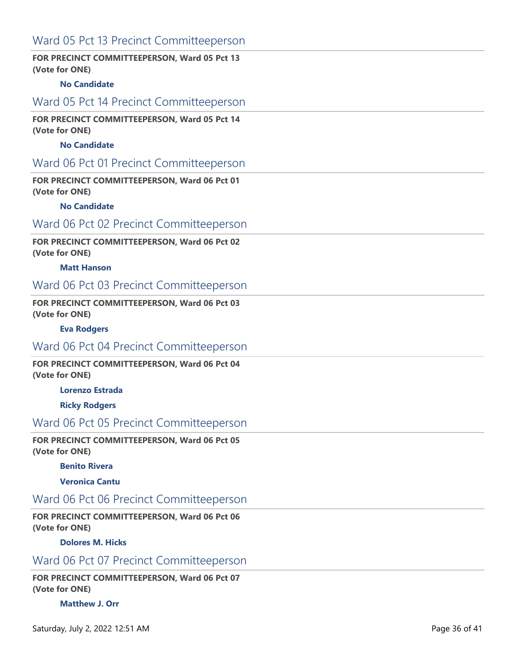# Ward 05 Pct 13 Precinct Committeeperson

### **FOR PRECINCT COMMITTEEPERSON, Ward 05 Pct 13 (Vote for ONE)**

### **No Candidate**

## Ward 05 Pct 14 Precinct Committeeperson

**FOR PRECINCT COMMITTEEPERSON, Ward 05 Pct 14 (Vote for ONE)**

### **No Candidate**

### Ward 06 Pct 01 Precinct Committeeperson

**FOR PRECINCT COMMITTEEPERSON, Ward 06 Pct 01 (Vote for ONE)**

#### **No Candidate**

# Ward 06 Pct 02 Precinct Committeeperson

**FOR PRECINCT COMMITTEEPERSON, Ward 06 Pct 02 (Vote for ONE)**

#### **Matt Hanson**

### Ward 06 Pct 03 Precinct Committeeperson

**FOR PRECINCT COMMITTEEPERSON, Ward 06 Pct 03 (Vote for ONE)**

#### **Eva Rodgers**

### Ward 06 Pct 04 Precinct Committeeperson

**FOR PRECINCT COMMITTEEPERSON, Ward 06 Pct 04 (Vote for ONE)**

**Lorenzo Estrada**

**Ricky Rodgers**

# Ward 06 Pct 05 Precinct Committeeperson

**FOR PRECINCT COMMITTEEPERSON, Ward 06 Pct 05 (Vote for ONE)**

#### **Benito Rivera**

**Veronica Cantu**

# Ward 06 Pct 06 Precinct Committeeperson

**FOR PRECINCT COMMITTEEPERSON, Ward 06 Pct 06 (Vote for ONE)**

### **Dolores M. Hicks**

# Ward 06 Pct 07 Precinct Committeeperson

**FOR PRECINCT COMMITTEEPERSON, Ward 06 Pct 07 (Vote for ONE)**

### **Matthew J. Orr**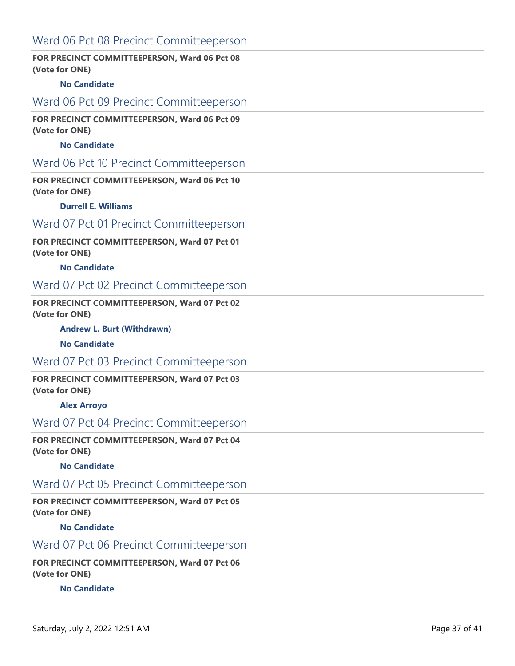# Ward 06 Pct 08 Precinct Committeeperson

### **FOR PRECINCT COMMITTEEPERSON, Ward 06 Pct 08 (Vote for ONE)**

### **No Candidate**

## Ward 06 Pct 09 Precinct Committeeperson

### **FOR PRECINCT COMMITTEEPERSON, Ward 06 Pct 09 (Vote for ONE)**

### **No Candidate**

### Ward 06 Pct 10 Precinct Committeeperson

**FOR PRECINCT COMMITTEEPERSON, Ward 06 Pct 10 (Vote for ONE)**

#### **Durrell E. Williams**

# Ward 07 Pct 01 Precinct Committeeperson

**FOR PRECINCT COMMITTEEPERSON, Ward 07 Pct 01 (Vote for ONE)**

#### **No Candidate**

### Ward 07 Pct 02 Precinct Committeeperson

**FOR PRECINCT COMMITTEEPERSON, Ward 07 Pct 02 (Vote for ONE)**

**Andrew L. Burt (Withdrawn)**

#### **No Candidate**

# Ward 07 Pct 03 Precinct Committeeperson

**FOR PRECINCT COMMITTEEPERSON, Ward 07 Pct 03 (Vote for ONE)**

#### **Alex Arroyo**

### Ward 07 Pct 04 Precinct Committeeperson

**FOR PRECINCT COMMITTEEPERSON, Ward 07 Pct 04 (Vote for ONE)**

#### **No Candidate**

### Ward 07 Pct 05 Precinct Committeeperson

**FOR PRECINCT COMMITTEEPERSON, Ward 07 Pct 05 (Vote for ONE)**

**No Candidate**

# Ward 07 Pct 06 Precinct Committeeperson

**FOR PRECINCT COMMITTEEPERSON, Ward 07 Pct 06 (Vote for ONE)**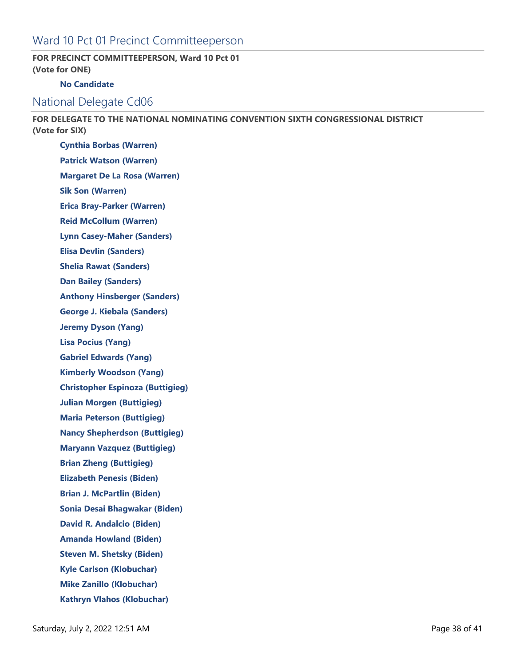# Ward 10 Pct 01 Precinct Committeeperson

### **FOR PRECINCT COMMITTEEPERSON, Ward 10 Pct 01 (Vote for ONE)**

### **No Candidate**

## National Delegate Cd06

**FOR DELEGATE TO THE NATIONAL NOMINATING CONVENTION SIXTH CONGRESSIONAL DISTRICT (Vote for SIX)**

**Cynthia Borbas (Warren) Patrick Watson (Warren) Margaret De La Rosa (Warren) Sik Son (Warren) Erica Bray-Parker (Warren) Reid McCollum (Warren) Lynn Casey-Maher (Sanders) Elisa Devlin (Sanders) Shelia Rawat (Sanders) Dan Bailey (Sanders) Anthony Hinsberger (Sanders) George J. Kiebala (Sanders) Jeremy Dyson (Yang) Lisa Pocius (Yang) Gabriel Edwards (Yang) Kimberly Woodson (Yang) Christopher Espinoza (Buttigieg) Julian Morgen (Buttigieg) Maria Peterson (Buttigieg) Nancy Shepherdson (Buttigieg) Maryann Vazquez (Buttigieg) Brian Zheng (Buttigieg) Elizabeth Penesis (Biden) Brian J. McPartlin (Biden) Sonia Desai Bhagwakar (Biden) David R. Andalcio (Biden) Amanda Howland (Biden) Steven M. Shetsky (Biden) Kyle Carlson (Klobuchar) Mike Zanillo (Klobuchar) Kathryn Vlahos (Klobuchar)**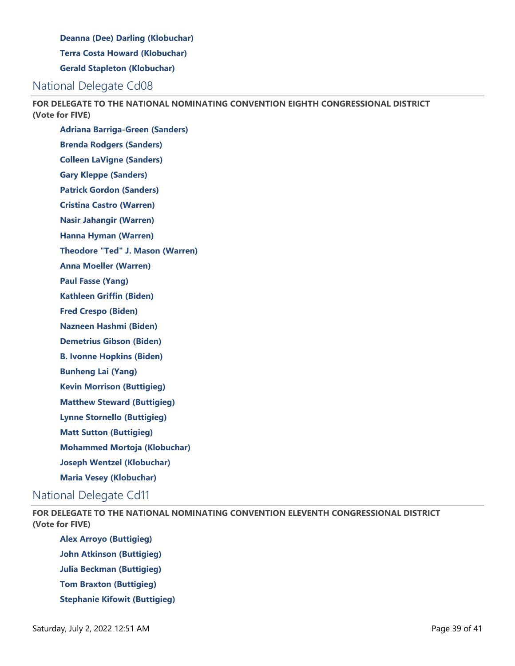**Deanna (Dee) Darling (Klobuchar)**

**Terra Costa Howard (Klobuchar)**

**Gerald Stapleton (Klobuchar)**

# National Delegate Cd08

**FOR DELEGATE TO THE NATIONAL NOMINATING CONVENTION EIGHTH CONGRESSIONAL DISTRICT (Vote for FIVE)**

**Adriana Barriga-Green (Sanders) Brenda Rodgers (Sanders) Colleen LaVigne (Sanders) Gary Kleppe (Sanders) Patrick Gordon (Sanders) Cristina Castro (Warren) Nasir Jahangir (Warren) Hanna Hyman (Warren) Theodore "Ted" J. Mason (Warren) Anna Moeller (Warren) Paul Fasse (Yang) Kathleen Griffin (Biden) Fred Crespo (Biden) Nazneen Hashmi (Biden) Demetrius Gibson (Biden) B. Ivonne Hopkins (Biden) Bunheng Lai (Yang) Kevin Morrison (Buttigieg) Matthew Steward (Buttigieg) Lynne Stornello (Buttigieg) Matt Sutton (Buttigieg) Mohammed Mortoja (Klobuchar)**

**Joseph Wentzel (Klobuchar)**

**Maria Vesey (Klobuchar)**

# National Delegate Cd11

**FOR DELEGATE TO THE NATIONAL NOMINATING CONVENTION ELEVENTH CONGRESSIONAL DISTRICT (Vote for FIVE)**

**Alex Arroyo (Buttigieg) John Atkinson (Buttigieg) Julia Beckman (Buttigieg) Tom Braxton (Buttigieg) Stephanie Kifowit (Buttigieg)**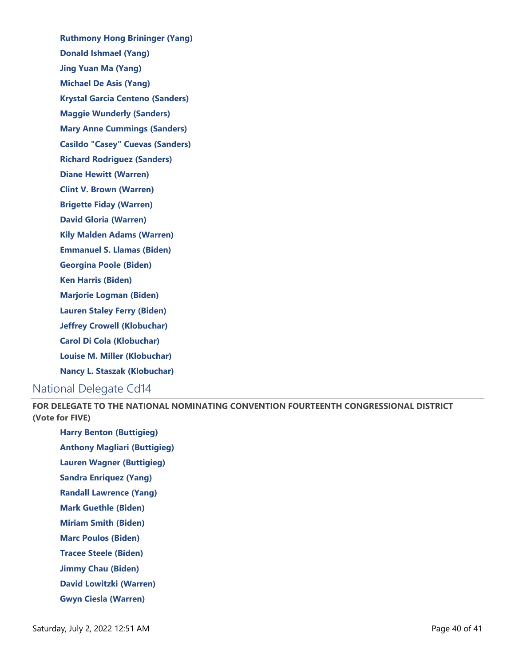**Ruthmony Hong Brininger (Yang) Donald Ishmael (Yang) Jing Yuan Ma (Yang) Michael De Asis (Yang) Krystal Garcia Centeno (Sanders) Maggie Wunderly (Sanders) Mary Anne Cummings (Sanders) Casildo "Casey" Cuevas (Sanders) Richard Rodriguez (Sanders) Diane Hewitt (Warren) Clint V. Brown (Warren) Brigette Fiday (Warren) David Gloria (Warren) Kily Malden Adams (Warren) Emmanuel S. Llamas (Biden) Georgina Poole (Biden) Ken Harris (Biden) Marjorie Logman (Biden) Lauren Staley Ferry (Biden) Jeffrey Crowell (Klobuchar) Carol Di Cola (Klobuchar) Louise M. Miller (Klobuchar) Nancy L. Staszak (Klobuchar)** National Delegate Cd14

**FOR DELEGATE TO THE NATIONAL NOMINATING CONVENTION FOURTEENTH CONGRESSIONAL DISTRICT (Vote for FIVE)**

**Harry Benton (Buttigieg)**

**Anthony Magliari (Buttigieg)**

**Lauren Wagner (Buttigieg)**

**Sandra Enriquez (Yang)**

**Randall Lawrence (Yang)**

**Mark Guethle (Biden)**

**Miriam Smith (Biden)**

**Marc Poulos (Biden)**

**Tracee Steele (Biden)**

**Jimmy Chau (Biden)**

**David Lowitzki (Warren)**

**Gwyn Ciesla (Warren)**